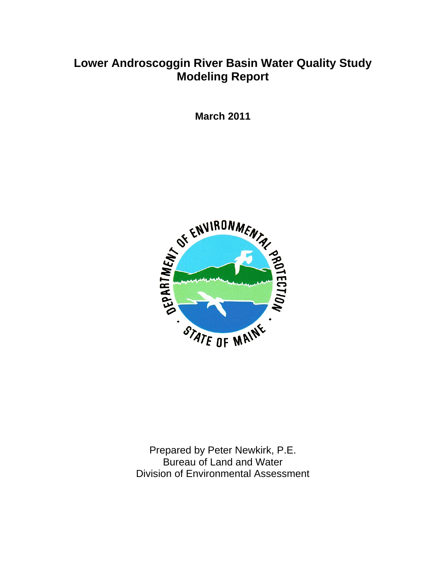# **Lower Androscoggin River Basin Water Quality Study Modeling Report**

**March 2011** 



Prepared by Peter Newkirk, P.E. Bureau of Land and Water Division of Environmental Assessment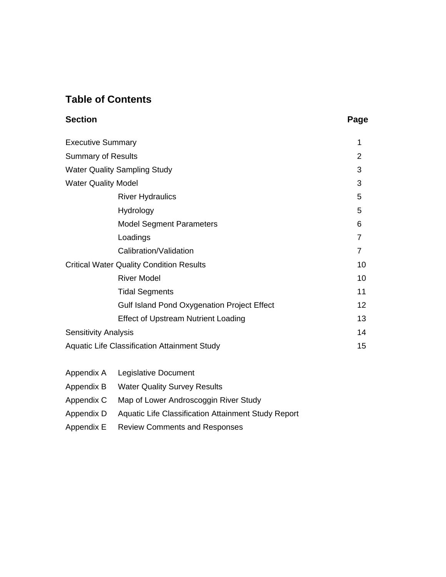# **Table of Contents**

| Section | Page |
|---------|------|
|---------|------|

| <b>Executive Summary</b>                        |                                                     | 1  |  |  |  |  |  |  |
|-------------------------------------------------|-----------------------------------------------------|----|--|--|--|--|--|--|
| <b>Summary of Results</b>                       |                                                     |    |  |  |  |  |  |  |
|                                                 | <b>Water Quality Sampling Study</b>                 | 3  |  |  |  |  |  |  |
| <b>Water Quality Model</b>                      |                                                     | 3  |  |  |  |  |  |  |
|                                                 | <b>River Hydraulics</b>                             | 5  |  |  |  |  |  |  |
|                                                 | Hydrology                                           | 5  |  |  |  |  |  |  |
|                                                 | <b>Model Segment Parameters</b>                     | 6  |  |  |  |  |  |  |
|                                                 | Loadings                                            | 7  |  |  |  |  |  |  |
|                                                 | Calibration/Validation                              | 7  |  |  |  |  |  |  |
| <b>Critical Water Quality Condition Results</b> | 10                                                  |    |  |  |  |  |  |  |
|                                                 | <b>River Model</b>                                  | 10 |  |  |  |  |  |  |
|                                                 | <b>Tidal Segments</b>                               | 11 |  |  |  |  |  |  |
|                                                 | <b>Gulf Island Pond Oxygenation Project Effect</b>  | 12 |  |  |  |  |  |  |
|                                                 | <b>Effect of Upstream Nutrient Loading</b>          | 13 |  |  |  |  |  |  |
| <b>Sensitivity Analysis</b>                     |                                                     | 14 |  |  |  |  |  |  |
|                                                 | <b>Aquatic Life Classification Attainment Study</b> | 15 |  |  |  |  |  |  |
| Appendix A                                      | Legislative Document                                |    |  |  |  |  |  |  |

- Appendix B Water Quality Survey Results
- Appendix C Map of Lower Androscoggin River Study
- Appendix D Aquatic Life Classification Attainment Study Report
- Appendix E Review Comments and Responses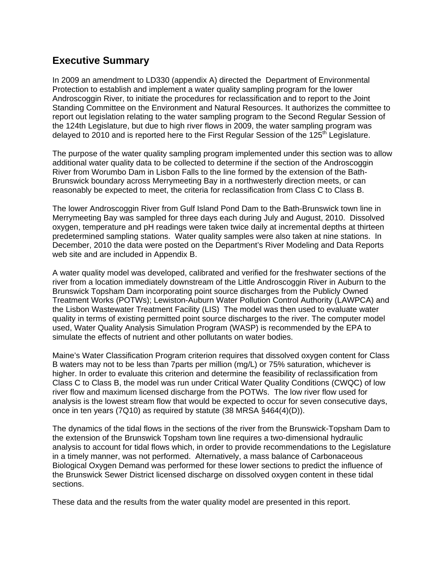## **Executive Summary**

In 2009 an amendment to LD330 (appendix A) directed the Department of Environmental Protection to establish and implement a water quality sampling program for the lower Androscoggin River, to initiate the procedures for reclassification and to report to the Joint Standing Committee on the Environment and Natural Resources. It authorizes the committee to report out legislation relating to the water sampling program to the Second Regular Session of the 124th Legislature, but due to high river flows in 2009, the water sampling program was delayed to 2010 and is reported here to the First Regular Session of the 125<sup>th</sup> Legislature.

The purpose of the water quality sampling program implemented under this section was to allow additional water quality data to be collected to determine if the section of the Androscoggin River from Worumbo Dam in Lisbon Falls to the line formed by the extension of the Bath-Brunswick boundary across Merrymeeting Bay in a northwesterly direction meets, or can reasonably be expected to meet, the criteria for reclassification from Class C to Class B.

The lower Androscoggin River from Gulf Island Pond Dam to the Bath-Brunswick town line in Merrymeeting Bay was sampled for three days each during July and August, 2010. Dissolved oxygen, temperature and pH readings were taken twice daily at incremental depths at thirteen predetermined sampling stations. Water quality samples were also taken at nine stations. In December, 2010 the data were posted on the Department's River Modeling and Data Reports web site and are included in Appendix B.

A water quality model was developed, calibrated and verified for the freshwater sections of the river from a location immediately downstream of the Little Androscoggin River in Auburn to the Brunswick Topsham Dam incorporating point source discharges from the Publicly Owned Treatment Works (POTWs); Lewiston-Auburn Water Pollution Control Authority (LAWPCA) and the Lisbon Wastewater Treatment Facility (LIS) The model was then used to evaluate water quality in terms of existing permitted point source discharges to the river. The computer model used, Water Quality Analysis Simulation Program (WASP) is recommended by the EPA to simulate the effects of nutrient and other pollutants on water bodies.

Maine's Water Classification Program criterion requires that dissolved oxygen content for Class B waters may not to be less than 7parts per million (mg/L) or 75% saturation, whichever is higher. In order to evaluate this criterion and determine the feasibility of reclassification from Class C to Class B, the model was run under Critical Water Quality Conditions (CWQC) of low river flow and maximum licensed discharge from the POTWs. The low river flow used for analysis is the lowest stream flow that would be expected to occur for seven consecutive days, once in ten years (7Q10) as required by statute (38 MRSA §464(4)(D)).

The dynamics of the tidal flows in the sections of the river from the Brunswick-Topsham Dam to the extension of the Brunswick Topsham town line requires a two-dimensional hydraulic analysis to account for tidal flows which, in order to provide recommendations to the Legislature in a timely manner, was not performed. Alternatively, a mass balance of Carbonaceous Biological Oxygen Demand was performed for these lower sections to predict the influence of the Brunswick Sewer District licensed discharge on dissolved oxygen content in these tidal sections.

These data and the results from the water quality model are presented in this report.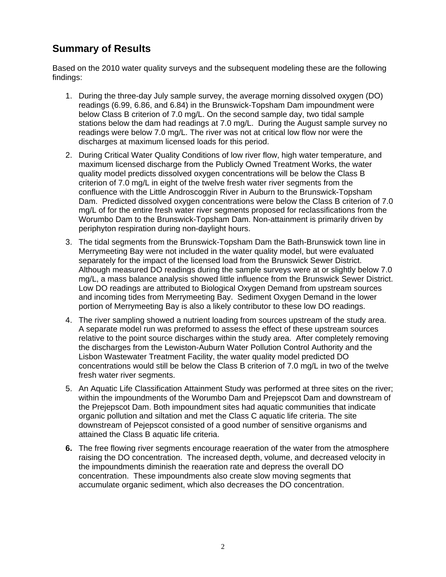# **Summary of Results**

Based on the 2010 water quality surveys and the subsequent modeling these are the following findings:

- 1. During the three-day July sample survey, the average morning dissolved oxygen (DO) readings (6.99, 6.86, and 6.84) in the Brunswick-Topsham Dam impoundment were below Class B criterion of 7.0 mg/L. On the second sample day, two tidal sample stations below the dam had readings at 7.0 mg/L. During the August sample survey no readings were below 7.0 mg/L. The river was not at critical low flow nor were the discharges at maximum licensed loads for this period.
- 2. During Critical Water Quality Conditions of low river flow, high water temperature, and maximum licensed discharge from the Publicly Owned Treatment Works, the water quality model predicts dissolved oxygen concentrations will be below the Class B criterion of 7.0 mg/L in eight of the twelve fresh water river segments from the confluence with the Little Androscoggin River in Auburn to the Brunswick-Topsham Dam. Predicted dissolved oxygen concentrations were below the Class B criterion of 7.0 mg/L of for the entire fresh water river segments proposed for reclassifications from the Worumbo Dam to the Brunswick-Topsham Dam. Non-attainment is primarily driven by periphyton respiration during non-daylight hours.
- 3. The tidal segments from the Brunswick-Topsham Dam the Bath-Brunswick town line in Merrymeeting Bay were not included in the water quality model, but were evaluated separately for the impact of the licensed load from the Brunswick Sewer District. Although measured DO readings during the sample surveys were at or slightly below 7.0 mg/L, a mass balance analysis showed little influence from the Brunswick Sewer District. Low DO readings are attributed to Biological Oxygen Demand from upstream sources and incoming tides from Merrymeeting Bay. Sediment Oxygen Demand in the lower portion of Merrymeeting Bay is also a likely contributor to these low DO readings.
- 4. The river sampling showed a nutrient loading from sources upstream of the study area. A separate model run was preformed to assess the effect of these upstream sources relative to the point source discharges within the study area. After completely removing the discharges from the Lewiston-Auburn Water Pollution Control Authority and the Lisbon Wastewater Treatment Facility, the water quality model predicted DO concentrations would still be below the Class B criterion of 7.0 mg/L in two of the twelve fresh water river segments.
- 5. An Aquatic Life Classification Attainment Study was performed at three sites on the river; within the impoundments of the Worumbo Dam and Prejepscot Dam and downstream of the Prejepscot Dam. Both impoundment sites had aquatic communities that indicate organic pollution and siltation and met the Class C aquatic life criteria. The site downstream of Pejepscot consisted of a good number of sensitive organisms and attained the Class B aquatic life criteria.
- **6.** The free flowing river segments encourage reaeration of the water from the atmosphere raising the DO concentration. The increased depth, volume, and decreased velocity in the impoundments diminish the reaeration rate and depress the overall DO concentration. These impoundments also create slow moving segments that accumulate organic sediment, which also decreases the DO concentration.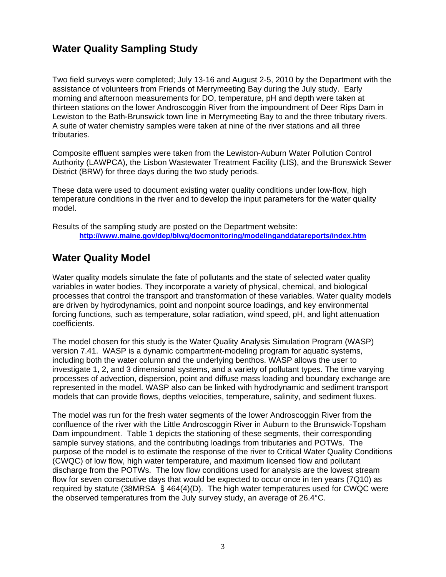## **Water Quality Sampling Study**

Two field surveys were completed; July 13-16 and August 2-5, 2010 by the Department with the assistance of volunteers from Friends of Merrymeeting Bay during the July study. Early morning and afternoon measurements for DO, temperature, pH and depth were taken at thirteen stations on the lower Androscoggin River from the impoundment of Deer Rips Dam in Lewiston to the Bath-Brunswick town line in Merrymeeting Bay to and the three tributary rivers. A suite of water chemistry samples were taken at nine of the river stations and all three tributaries.

Composite effluent samples were taken from the Lewiston-Auburn Water Pollution Control Authority (LAWPCA), the Lisbon Wastewater Treatment Facility (LIS), and the Brunswick Sewer District (BRW) for three days during the two study periods.

These data were used to document existing water quality conditions under low-flow, high temperature conditions in the river and to develop the input parameters for the water quality model.

Results of the sampling study are posted on the Department website: **<http://www.maine.gov/dep/blwq/docmonitoring/modelinganddatareports/index.htm>**

## **Water Quality Model**

Water quality models simulate the fate of pollutants and the state of selected water quality variables in water bodies. They incorporate a variety of physical, chemical, and biological processes that control the transport and transformation of these variables. Water quality models are driven by hydrodynamics, point and nonpoint source loadings, and key environmental forcing functions, such as temperature, solar radiation, wind speed, pH, and light attenuation coefficients.

The model chosen for this study is the Water Quality Analysis Simulation Program (WASP) version 7.41. WASP is a dynamic compartment-modeling program for aquatic systems, including both the water column and the underlying benthos. WASP allows the user to investigate 1, 2, and 3 dimensional systems, and a variety of pollutant types. The time varying processes of advection, dispersion, point and diffuse mass loading and boundary exchange are represented in the model. WASP also can be linked with hydrodynamic and sediment transport models that can provide flows, depths velocities, temperature, salinity, and sediment fluxes.

The model was run for the fresh water segments of the lower Androscoggin River from the confluence of the river with the Little Androscoggin River in Auburn to the Brunswick-Topsham Dam impoundment. Table 1 depicts the stationing of these segments, their corresponding sample survey stations, and the contributing loadings from tributaries and POTWs. The purpose of the model is to estimate the response of the river to Critical Water Quality Conditions (CWQC) of low flow, high water temperature, and maximum licensed flow and pollutant discharge from the POTWs. The low flow conditions used for analysis are the lowest stream flow for seven consecutive days that would be expected to occur once in ten years (7Q10) as required by statute (38MRSA § 464(4)(D). The high water temperatures used for CWQC were the observed temperatures from the July survey study, an average of 26.4°C.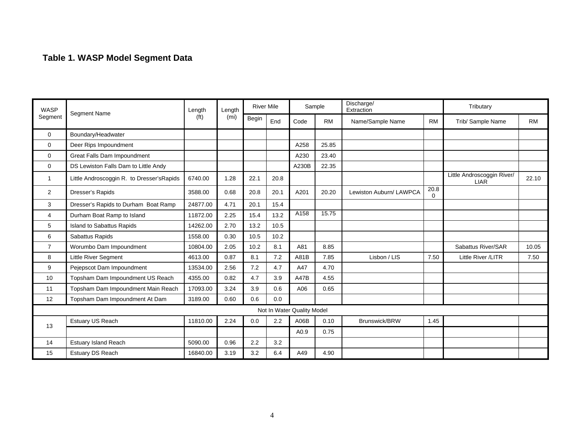# **Table 1. WASP Model Segment Data**

| <b>WASP</b>    | <b>Segment Name</b>                        | Length            | Length            | <b>River Mile</b> |      | Sample                     |           | Discharge/<br>Extraction |           | Tributary                                 |           |
|----------------|--------------------------------------------|-------------------|-------------------|-------------------|------|----------------------------|-----------|--------------------------|-----------|-------------------------------------------|-----------|
| Segment        |                                            | (f <sup>t</sup> ) | (m <sub>i</sub> ) | Begin             | End  | Code                       | <b>RM</b> | Name/Sample Name         | <b>RM</b> | Trib/ Sample Name                         | <b>RM</b> |
| $\mathbf 0$    | Boundary/Headwater                         |                   |                   |                   |      |                            |           |                          |           |                                           |           |
| $\mathbf 0$    | Deer Rips Impoundment                      |                   |                   |                   |      | A258                       | 25.85     |                          |           |                                           |           |
| $\mathbf 0$    | Great Falls Dam Impoundment                |                   |                   |                   |      | A230                       | 23.40     |                          |           |                                           |           |
| $\mathbf 0$    | DS Lewiston Falls Dam to Little Andy       |                   |                   |                   |      | A230B                      | 22.35     |                          |           |                                           |           |
| -1             | Little Androscoggin R. to Dresser's Rapids | 6740.00           | 1.28              | 22.1              | 20.8 |                            |           |                          |           | Little Androscoggin River/<br><b>LIAR</b> | 22.10     |
| $\overline{2}$ | Dresser's Rapids                           | 3588.00           | 0.68              | 20.8              | 20.1 | A201                       | 20.20     | Lewiston Auburn/ LAWPCA  | 20.8<br>0 |                                           |           |
| 3              | Dresser's Rapids to Durham Boat Ramp       | 24877.00          | 4.71              | 20.1              | 15.4 |                            |           |                          |           |                                           |           |
| $\overline{4}$ | Durham Boat Ramp to Island                 | 11872.00          | 2.25              | 15.4              | 13.2 | A158                       | 15.75     |                          |           |                                           |           |
| 5              | Island to Sabattus Rapids                  | 14262.00          | 2.70              | 13.2              | 10.5 |                            |           |                          |           |                                           |           |
| 6              | Sabattus Rapids                            | 1558.00           | 0.30              | 10.5              | 10.2 |                            |           |                          |           |                                           |           |
| $\overline{7}$ | Worumbo Dam Impoundment                    | 10804.00          | 2.05              | 10.2              | 8.1  | A81                        | 8.85      |                          |           | Sabattus River/SAR                        | 10.05     |
| 8              | <b>Little River Segment</b>                | 4613.00           | 0.87              | 8.1               | 7.2  | A81B                       | 7.85      | Lisbon / LIS             | 7.50      | Little River /LITR                        | 7.50      |
| 9              | Pejepscot Dam Impoundment                  | 13534.00          | 2.56              | 7.2               | 4.7  | A47                        | 4.70      |                          |           |                                           |           |
| 10             | Topsham Dam Impoundment US Reach           | 4355.00           | 0.82              | 4.7               | 3.9  | <b>A47B</b>                | 4.55      |                          |           |                                           |           |
| 11             | Topsham Dam Impoundment Main Reach         | 17093.00          | 3.24              | 3.9               | 0.6  | A06                        | 0.65      |                          |           |                                           |           |
| 12             | Topsham Dam Impoundment At Dam             | 3189.00           | 0.60              | 0.6               | 0.0  |                            |           |                          |           |                                           |           |
|                |                                            |                   |                   |                   |      | Not In Water Quality Model |           |                          |           |                                           |           |
| 13             | Estuary US Reach                           | 11810.00          | 2.24              | 0.0               | 2.2  | A06B                       | 0.10      | Brunswick/BRW            | 1.45      |                                           |           |
|                |                                            |                   |                   |                   |      | A0.9                       | 0.75      |                          |           |                                           |           |
| 14             | <b>Estuary Island Reach</b>                | 5090.00           | 0.96              | 2.2               | 3.2  |                            |           |                          |           |                                           |           |
| 15             | Estuary DS Reach                           | 16840.00          | 3.19              | 3.2               | 6.4  | A49                        | 4.90      |                          |           |                                           |           |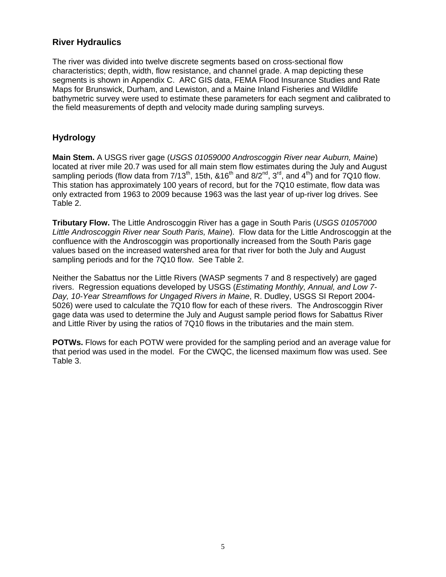### **River Hydraulics**

The river was divided into twelve discrete segments based on cross-sectional flow characteristics; depth, width, flow resistance, and channel grade. A map depicting these segments is shown in Appendix C. ARC GIS data, FEMA Flood Insurance Studies and Rate Maps for Brunswick, Durham, and Lewiston, and a Maine Inland Fisheries and Wildlife bathymetric survey were used to estimate these parameters for each segment and calibrated to the field measurements of depth and velocity made during sampling surveys.

## **Hydrology**

**Main Stem.** A USGS river gage (*USGS 01059000 Androscoggin River near Auburn, Maine*) located at river mile 20.7 was used for all main stem flow estimates during the July and August sampling periods (flow data from  $7/13^{th}$ , 15th,  $\&16^{th}$  and  $8/2^{nd}$ ,  $3^{rd}$ , and  $4^{th}$ ) and for 7Q10 flow. This station has approximately 100 years of record, but for the 7Q10 estimate, flow data was only extracted from 1963 to 2009 because 1963 was the last year of up-river log drives. See Table 2.

**Tributary Flow.** The Little Androscoggin River has a gage in South Paris (*USGS 01057000 Little Androscoggin River near South Paris, Maine*). Flow data for the Little Androscoggin at the confluence with the Androscoggin was proportionally increased from the South Paris gage values based on the increased watershed area for that river for both the July and August sampling periods and for the 7Q10 flow. See Table 2.

Neither the Sabattus nor the Little Rivers (WASP segments 7 and 8 respectively) are gaged rivers. Regression equations developed by USGS (*Estimating Monthly, Annual, and Low 7- Day, 10-Year Streamflows for Ungaged Rivers in Maine*, R. Dudley, USGS SI Report 2004- 5026) were used to calculate the 7Q10 flow for each of these rivers. The Androscoggin River gage data was used to determine the July and August sample period flows for Sabattus River and Little River by using the ratios of 7Q10 flows in the tributaries and the main stem.

**POTWs.** Flows for each POTW were provided for the sampling period and an average value for that period was used in the model. For the CWQC, the licensed maximum flow was used. See Table 3.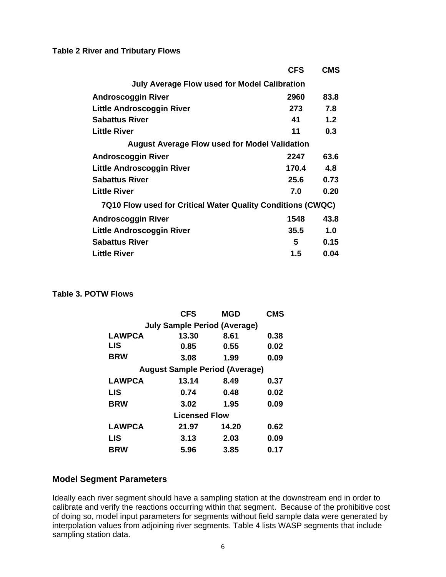**Table 2 River and Tributary Flows** 

|                                                             | <b>CFS</b> | <b>CMS</b> |
|-------------------------------------------------------------|------------|------------|
| July Average Flow used for Model Calibration                |            |            |
| <b>Androscoggin River</b>                                   | 2960       | 83.8       |
| <b>Little Androscoggin River</b>                            | 273        | 7.8        |
| <b>Sabattus River</b>                                       | 41         | 1.2        |
| <b>Little River</b>                                         | 11         | 0.3        |
| <b>August Average Flow used for Model Validation</b>        |            |            |
| <b>Androscoggin River</b>                                   | 2247       | 63.6       |
| <b>Little Androscoggin River</b>                            | 170.4      | 4.8        |
| <b>Sabattus River</b>                                       | 25.6       | 0.73       |
| <b>Little River</b>                                         | 7.0        | 0.20       |
| 7Q10 Flow used for Critical Water Quality Conditions (CWQC) |            |            |
| <b>Androscoggin River</b>                                   | 1548       | 43.8       |
| Little Androscoggin River                                   | 35.5       | 1.0        |
| <b>Sabattus River</b>                                       | 5          | 0.15       |
| <b>Little River</b>                                         | $1.5\,$    | 0.04       |

### **Table 3. POTW Flows**

|                                     | <b>CFS</b>                            | <b>MGD</b> | <b>CMS</b> |  |  |  |  |  |  |  |  |  |
|-------------------------------------|---------------------------------------|------------|------------|--|--|--|--|--|--|--|--|--|
| <b>July Sample Period (Average)</b> |                                       |            |            |  |  |  |  |  |  |  |  |  |
| <b>LAWPCA</b>                       | 13.30                                 | 8.61       | 0.38       |  |  |  |  |  |  |  |  |  |
| <b>LIS</b>                          | 0.85                                  | 0.55       | 0.02       |  |  |  |  |  |  |  |  |  |
| <b>BRW</b>                          | 3.08                                  | 1.99       | 0.09       |  |  |  |  |  |  |  |  |  |
|                                     | <b>August Sample Period (Average)</b> |            |            |  |  |  |  |  |  |  |  |  |
| <b>LAWPCA</b>                       | 13.14                                 | 8.49       | 0.37       |  |  |  |  |  |  |  |  |  |
| <b>LIS</b>                          | 0.74                                  | 0.48       | 0.02       |  |  |  |  |  |  |  |  |  |
| <b>BRW</b>                          | 3.02                                  | 1.95       | 0.09       |  |  |  |  |  |  |  |  |  |
|                                     | <b>Licensed Flow</b>                  |            |            |  |  |  |  |  |  |  |  |  |
| <b>LAWPCA</b>                       | 21.97                                 | 14.20      | 0.62       |  |  |  |  |  |  |  |  |  |
| LIS                                 | 3.13                                  | 2.03       | 0.09       |  |  |  |  |  |  |  |  |  |
| <b>BRW</b>                          | 5.96                                  | 3.85       | 0.17       |  |  |  |  |  |  |  |  |  |

### **Model Segment Parameters**

Ideally each river segment should have a sampling station at the downstream end in order to calibrate and verify the reactions occurring within that segment. Because of the prohibitive cost of doing so, model input parameters for segments without field sample data were generated by interpolation values from adjoining river segments. Table 4 lists WASP segments that include sampling station data.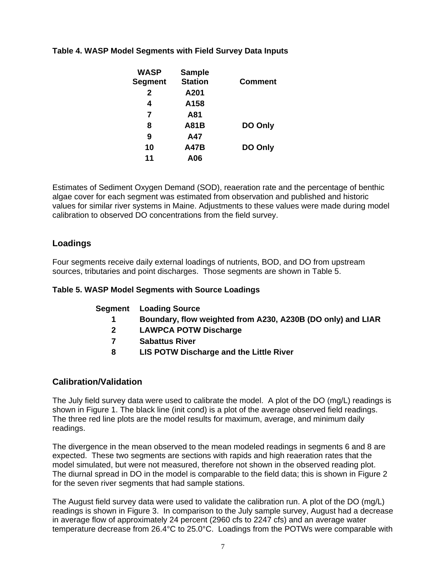| <b>WASP</b>    | <b>Sample</b>  |                |
|----------------|----------------|----------------|
| <b>Segment</b> | <b>Station</b> | <b>Comment</b> |
| $\mathbf{2}$   | A201           |                |
| 4              | A158           |                |
| 7              | A81            |                |
| 8              | A81B           | DO Only        |
| 9              | A47            |                |
| 10             | <b>A47B</b>    | DO Only        |
| 11             | A06            |                |

## **Table 4. WASP Model Segments with Field Survey Data Inputs**

Estimates of Sediment Oxygen Demand (SOD), reaeration rate and the percentage of benthic algae cover for each segment was estimated from observation and published and historic values for similar river systems in Maine. Adjustments to these values were made during model calibration to observed DO concentrations from the field survey.

## **Loadings**

Four segments receive daily external loadings of nutrients, BOD, and DO from upstream sources, tributaries and point discharges. Those segments are shown in Table 5.

### **Table 5. WASP Model Segments with Source Loadings**

| Segment | <b>Loading Source</b> |  |
|---------|-----------------------|--|
|---------|-----------------------|--|

- **1 Boundary, flow weighted from A230, A230B (DO only) and LIAR**
- **2 LAWPCA POTW Discharge**
- **7 Sabattus River**
- **8 LIS POTW Discharge and the Little River**

### **Calibration/Validation**

The July field survey data were used to calibrate the model. A plot of the DO (mg/L) readings is shown in Figure 1. The black line (init cond) is a plot of the average observed field readings. The three red line plots are the model results for maximum, average, and minimum daily readings.

The divergence in the mean observed to the mean modeled readings in segments 6 and 8 are expected. These two segments are sections with rapids and high reaeration rates that the model simulated, but were not measured, therefore not shown in the observed reading plot. The diurnal spread in DO in the model is comparable to the field data; this is shown in Figure 2 for the seven river segments that had sample stations.

The August field survey data were used to validate the calibration run. A plot of the DO (mg/L) readings is shown in Figure 3. In comparison to the July sample survey, August had a decrease in average flow of approximately 24 percent (2960 cfs to 2247 cfs) and an average water temperature decrease from 26.4°C to 25.0°C. Loadings from the POTWs were comparable with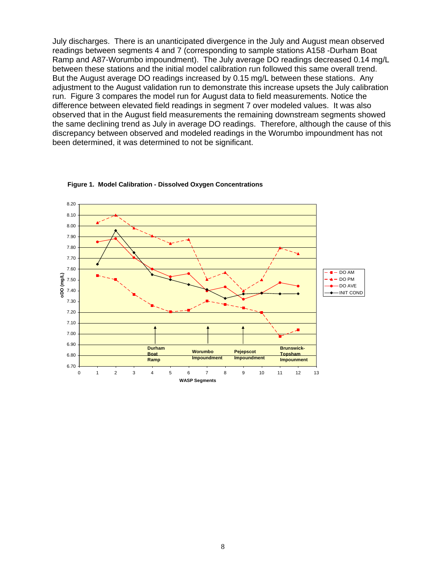July discharges. There is an unanticipated divergence in the July and August mean observed readings between segments 4 and 7 (corresponding to sample stations A158 -Durham Boat Ramp and A87-Worumbo impoundment). The July average DO readings decreased 0.14 mg/L between these stations and the initial model calibration run followed this same overall trend. But the August average DO readings increased by 0.15 mg/L between these stations. Any adjustment to the August validation run to demonstrate this increase upsets the July calibration run. Figure 3 compares the model run for August data to field measurements. Notice the difference between elevated field readings in segment 7 over modeled values. It was also observed that in the August field measurements the remaining downstream segments showed the same declining trend as July in average DO readings. Therefore, although the cause of this discrepancy between observed and modeled readings in the Worumbo impoundment has not been determined, it was determined to not be significant.



**Figure 1. Model Calibration - Dissolved Oxygen Concentrations**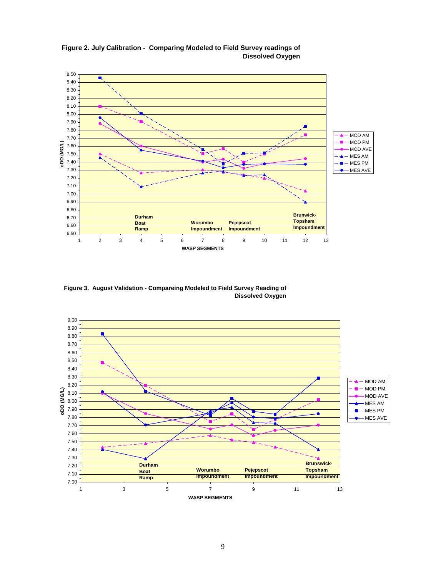

**Figure 2. July Calibration - Comparing Modeled to Field Survey readings of Dissolved Oxygen**

**Figure 3. August Validation - Compareing Modeled to Field Survey Reading of Dissolved Oxygen**

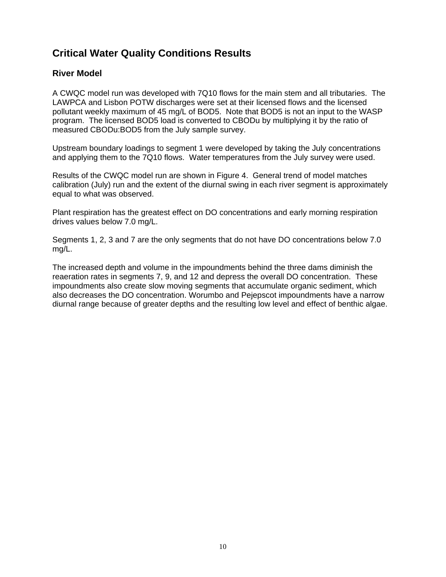# **Critical Water Quality Conditions Results**

### **River Model**

A CWQC model run was developed with 7Q10 flows for the main stem and all tributaries. The LAWPCA and Lisbon POTW discharges were set at their licensed flows and the licensed pollutant weekly maximum of 45 mg/L of BOD5. Note that BOD5 is not an input to the WASP program. The licensed BOD5 load is converted to CBODu by multiplying it by the ratio of measured CBODu:BOD5 from the July sample survey.

Upstream boundary loadings to segment 1 were developed by taking the July concentrations and applying them to the 7Q10 flows. Water temperatures from the July survey were used.

Results of the CWQC model run are shown in Figure 4. General trend of model matches calibration (July) run and the extent of the diurnal swing in each river segment is approximately equal to what was observed.

Plant respiration has the greatest effect on DO concentrations and early morning respiration drives values below 7.0 mg/L.

Segments 1, 2, 3 and 7 are the only segments that do not have DO concentrations below 7.0 mg/L.

The increased depth and volume in the impoundments behind the three dams diminish the reaeration rates in segments 7, 9, and 12 and depress the overall DO concentration. These impoundments also create slow moving segments that accumulate organic sediment, which also decreases the DO concentration. Worumbo and Pejepscot impoundments have a narrow diurnal range because of greater depths and the resulting low level and effect of benthic algae.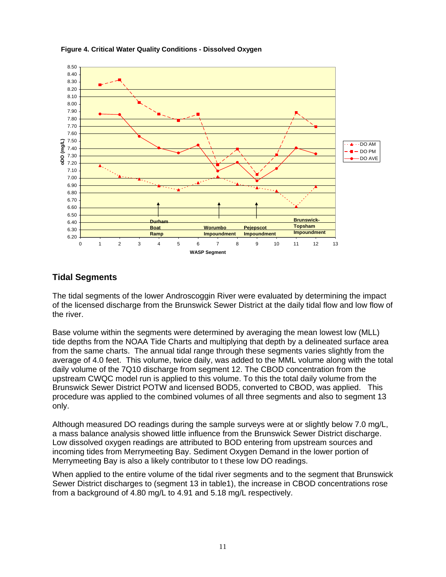

#### **Figure 4. Critical Water Quality Conditions - Dissolved Oxygen**

### **Tidal Segments**

The tidal segments of the lower Androscoggin River were evaluated by determining the impact of the licensed discharge from the Brunswick Sewer District at the daily tidal flow and low flow of the river.

Base volume within the segments were determined by averaging the mean lowest low (MLL) tide depths from the NOAA Tide Charts and multiplying that depth by a delineated surface area from the same charts. The annual tidal range through these segments varies slightly from the average of 4.0 feet. This volume, twice daily, was added to the MML volume along with the total daily volume of the 7Q10 discharge from segment 12. The CBOD concentration from the upstream CWQC model run is applied to this volume. To this the total daily volume from the Brunswick Sewer District POTW and licensed BOD5, converted to CBOD, was applied. This procedure was applied to the combined volumes of all three segments and also to segment 13 only.

Although measured DO readings during the sample surveys were at or slightly below 7.0 mg/L, a mass balance analysis showed little influence from the Brunswick Sewer District discharge. Low dissolved oxygen readings are attributed to BOD entering from upstream sources and incoming tides from Merrymeeting Bay. Sediment Oxygen Demand in the lower portion of Merrymeeting Bay is also a likely contributor to t these low DO readings.

When applied to the entire volume of the tidal river segments and to the segment that Brunswick Sewer District discharges to (segment 13 in table1), the increase in CBOD concentrations rose from a background of 4.80 mg/L to 4.91 and 5.18 mg/L respectively.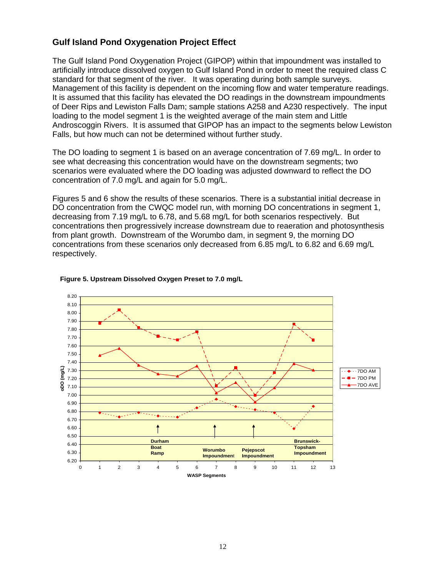## **Gulf Island Pond Oxygenation Project Effect**

The Gulf Island Pond Oxygenation Project (GIPOP) within that impoundment was installed to artificially introduce dissolved oxygen to Gulf Island Pond in order to meet the required class C standard for that segment of the river. It was operating during both sample surveys. Management of this facility is dependent on the incoming flow and water temperature readings. It is assumed that this facility has elevated the DO readings in the downstream impoundments of Deer Rips and Lewiston Falls Dam; sample stations A258 and A230 respectively. The input loading to the model segment 1 is the weighted average of the main stem and Little Androscoggin Rivers. It is assumed that GIPOP has an impact to the segments below Lewiston Falls, but how much can not be determined without further study.

The DO loading to segment 1 is based on an average concentration of 7.69 mg/L. In order to see what decreasing this concentration would have on the downstream segments; two scenarios were evaluated where the DO loading was adjusted downward to reflect the DO concentration of 7.0 mg/L and again for 5.0 mg/L.

Figures 5 and 6 show the results of these scenarios. There is a substantial initial decrease in DO concentration from the CWQC model run, with morning DO concentrations in segment 1, decreasing from 7.19 mg/L to 6.78, and 5.68 mg/L for both scenarios respectively. But concentrations then progressively increase downstream due to reaeration and photosynthesis from plant growth. Downstream of the Worumbo dam, in segment 9, the morning DO concentrations from these scenarios only decreased from 6.85 mg/L to 6.82 and 6.69 mg/L respectively.



#### **Figure 5. Upstream Dissolved Oxygen Preset to 7.0 mg/L**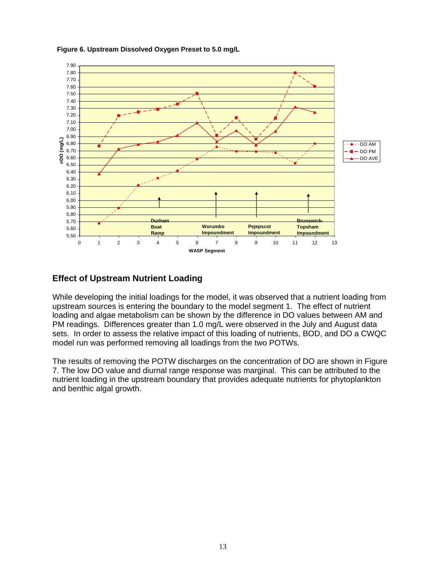

#### **Figure 6. Upstream Dissolved Oxygen Preset to 5.0 mg/L**

## **Effect of Upstream Nutrient Loading**

While developing the initial loadings for the model, it was observed that a nutrient loading from upstream sources is entering the boundary to the model segment 1. The effect of nutrient loading and algae metabolism can be shown by the difference in DO values between AM and PM readings. Differences greater than 1.0 mg/L were observed in the July and August data sets. In order to assess the relative impact of this loading of nutrients, BOD, and DO a CWQC model run was performed removing all loadings from the two POTWs.

The results of removing the POTW discharges on the concentration of DO are shown in Figure 7. The low DO value and diurnal range response was marginal. This can be attributed to the nutrient loading in the upstream boundary that provides adequate nutrients for phytoplankton and benthic algal growth.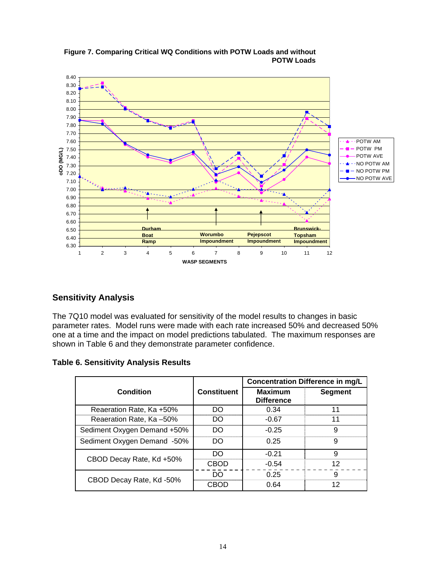

#### **Figure 7. Comparing Critical WQ Conditions with POTW Loads and without POTW Loads**

## **Sensitivity Analysis**

The 7Q10 model was evaluated for sensitivity of the model results to changes in basic parameter rates. Model runs were made with each rate increased 50% and decreased 50% one at a time and the impact on model predictions tabulated. The maximum responses are shown in Table 6 and they demonstrate parameter confidence.

|  | <b>Table 6. Sensitivity Analysis Results</b> |  |  |
|--|----------------------------------------------|--|--|
|--|----------------------------------------------|--|--|

|                             |                    | <b>Concentration Difference in mg/L</b> |                |  |  |  |
|-----------------------------|--------------------|-----------------------------------------|----------------|--|--|--|
| Condition                   | <b>Constituent</b> | <b>Maximum</b><br><b>Difference</b>     | <b>Segment</b> |  |  |  |
| Reaeration Rate, Ka +50%    | DO                 | 0.34                                    | 11             |  |  |  |
| Reaeration Rate, Ka -50%    | DO                 | $-0.67$                                 | 11             |  |  |  |
| Sediment Oxygen Demand +50% | DO                 | $-0.25$                                 | 9              |  |  |  |
| Sediment Oxygen Demand -50% | DO                 | 0.25                                    | 9              |  |  |  |
|                             | DO                 | $-0.21$                                 | 9              |  |  |  |
| CBOD Decay Rate, Kd +50%    | <b>CBOD</b>        | $-0.54$                                 | 12             |  |  |  |
|                             | DO.                | 0.25                                    | 9              |  |  |  |
| CBOD Decay Rate, Kd -50%    | CBOD               | 0.64                                    | 12             |  |  |  |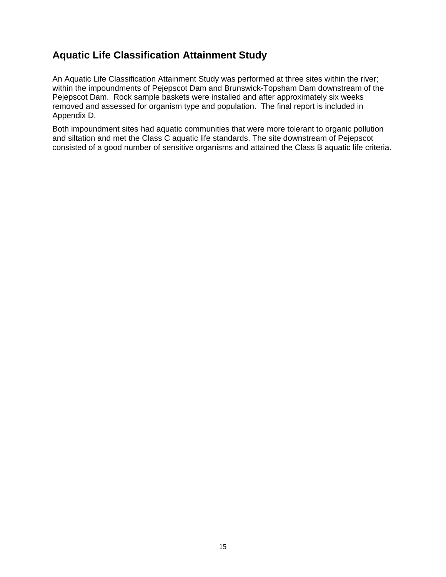## **Aquatic Life Classification Attainment Study**

An Aquatic Life Classification Attainment Study was performed at three sites within the river; within the impoundments of Pejepscot Dam and Brunswick-Topsham Dam downstream of the Pejepscot Dam. Rock sample baskets were installed and after approximately six weeks removed and assessed for organism type and population. The final report is included in Appendix D.

Both impoundment sites had aquatic communities that were more tolerant to organic pollution and siltation and met the Class C aquatic life standards. The site downstream of Pejepscot consisted of a good number of sensitive organisms and attained the Class B aquatic life criteria.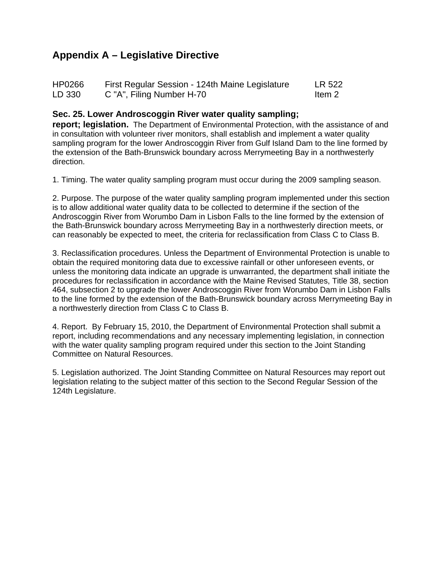# **Appendix A – Legislative Directive**

| HP0266 | First Regular Session - 124th Maine Legislature | LR 522 |
|--------|-------------------------------------------------|--------|
| LD 330 | C "A", Filing Number H-70                       | Item 2 |

### **Sec. 25. Lower Androscoggin River water quality sampling;**

**report; legislation.** The Department of Environmental Protection, with the assistance of and in consultation with volunteer river monitors, shall establish and implement a water quality sampling program for the lower Androscoggin River from Gulf Island Dam to the line formed by the extension of the Bath-Brunswick boundary across Merrymeeting Bay in a northwesterly direction.

1. Timing. The water quality sampling program must occur during the 2009 sampling season.

2. Purpose. The purpose of the water quality sampling program implemented under this section is to allow additional water quality data to be collected to determine if the section of the Androscoggin River from Worumbo Dam in Lisbon Falls to the line formed by the extension of the Bath-Brunswick boundary across Merrymeeting Bay in a northwesterly direction meets, or can reasonably be expected to meet, the criteria for reclassification from Class C to Class B.

3. Reclassification procedures. Unless the Department of Environmental Protection is unable to obtain the required monitoring data due to excessive rainfall or other unforeseen events, or unless the monitoring data indicate an upgrade is unwarranted, the department shall initiate the procedures for reclassification in accordance with the Maine Revised Statutes, Title 38, section 464, subsection 2 to upgrade the lower Androscoggin River from Worumbo Dam in Lisbon Falls to the line formed by the extension of the Bath-Brunswick boundary across Merrymeeting Bay in a northwesterly direction from Class C to Class B.

4. Report. By February 15, 2010, the Department of Environmental Protection shall submit a report, including recommendations and any necessary implementing legislation, in connection with the water quality sampling program required under this section to the Joint Standing Committee on Natural Resources.

5. Legislation authorized. The Joint Standing Committee on Natural Resources may report out legislation relating to the subject matter of this section to the Second Regular Session of the 124th Legislature.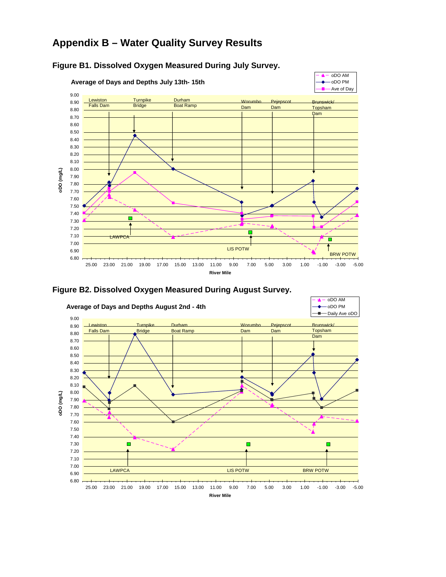# **Appendix B – Water Quality Survey Results**



## **Figure B1. Dissolved Oxygen Measured During July Survey.**



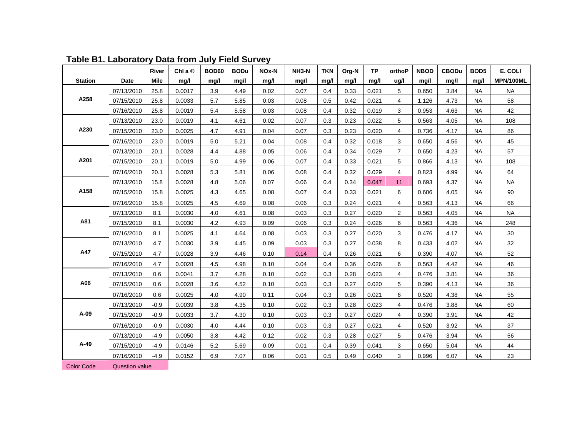|                |            | River       | Chl a $\circledcirc$ | <b>BOD60</b> | <b>BODu</b> | NOx-N | NH3-N | <b>TKN</b> | Org-N | <b>TP</b> | orthoP         | <b>NBOD</b> | <b>CBODu</b> | BOD <sub>5</sub> | E. COLI         |
|----------------|------------|-------------|----------------------|--------------|-------------|-------|-------|------------|-------|-----------|----------------|-------------|--------------|------------------|-----------------|
| <b>Station</b> | Date       | <b>Mile</b> | mg/l                 | mg/l         | mg/l        | mg/l  | mg/l  | mg/l       | mg/l  | mg/l      | ug/l           | mg/l        | mg/l         | mg/l             | MPN/100ML       |
|                | 07/13/2010 | 25.8        | 0.0017               | 3.9          | 4.49        | 0.02  | 0.07  | 0.4        | 0.33  | 0.021     | 5              | 0.650       | 3.84         | <b>NA</b>        | <b>NA</b>       |
| A258           | 07/15/2010 | 25.8        | 0.0033               | 5.7          | 5.85        | 0.03  | 0.08  | 0.5        | 0.42  | 0.021     | $\overline{4}$ | 1.126       | 4.73         | <b>NA</b>        | 58              |
|                | 07/16/2010 | 25.8        | 0.0019               | 5.4          | 5.58        | 0.03  | 0.08  | 0.4        | 0.32  | 0.019     | 3              | 0.953       | 4.63         | <b>NA</b>        | 42              |
|                | 07/13/2010 | 23.0        | 0.0019               | 4.1          | 4.61        | 0.02  | 0.07  | 0.3        | 0.23  | 0.022     | 5              | 0.563       | 4.05         | <b>NA</b>        | 108             |
| A230           | 07/15/2010 | 23.0        | 0.0025               | 4.7          | 4.91        | 0.04  | 0.07  | 0.3        | 0.23  | 0.020     | 4              | 0.736       | 4.17         | <b>NA</b>        | 86              |
|                | 07/16/2010 | 23.0        | 0.0019               | 5.0          | 5.21        | 0.04  | 0.08  | 0.4        | 0.32  | 0.018     | 3              | 0.650       | 4.56         | <b>NA</b>        | 45              |
|                | 07/13/2010 | 20.1        | 0.0028               | 4.4          | 4.88        | 0.05  | 0.06  | 0.4        | 0.34  | 0.029     | $\overline{7}$ | 0.650       | 4.23         | <b>NA</b>        | 57              |
| A201           | 07/15/2010 | 20.1        | 0.0019               | 5.0          | 4.99        | 0.06  | 0.07  | 0.4        | 0.33  | 0.021     | 5              | 0.866       | 4.13         | <b>NA</b>        | 108             |
|                | 07/16/2010 | 20.1        | 0.0028               | 5.3          | 5.81        | 0.06  | 0.08  | 0.4        | 0.32  | 0.029     | 4              | 0.823       | 4.99         | <b>NA</b>        | 64              |
|                | 07/13/2010 | 15.8        | 0.0028               | 4.8          | 5.06        | 0.07  | 0.06  | 0.4        | 0.34  | 0.047     | 11             | 0.693       | 4.37         | <b>NA</b>        | <b>NA</b>       |
| A158           | 07/15/2010 | 15.8        | 0.0025               | 4.3          | 4.65        | 0.08  | 0.07  | 0.4        | 0.33  | 0.021     | 6              | 0.606       | 4.05         | <b>NA</b>        | 90              |
|                | 07/16/2010 | 15.8        | 0.0025               | 4.5          | 4.69        | 0.08  | 0.06  | 0.3        | 0.24  | 0.021     | 4              | 0.563       | 4.13         | <b>NA</b>        | 66              |
|                | 07/13/2010 | 8.1         | 0.0030               | 4.0          | 4.61        | 0.08  | 0.03  | 0.3        | 0.27  | 0.020     | $\mathbf{2}$   | 0.563       | 4.05         | <b>NA</b>        | <b>NA</b>       |
| A81            | 07/15/2010 | 8.1         | 0.0030               | 4.2          | 4.93        | 0.09  | 0.06  | 0.3        | 0.24  | 0.026     | 6              | 0.563       | 4.36         | <b>NA</b>        | 248             |
|                | 07/16/2010 | 8.1         | 0.0025               | 4.1          | 4.64        | 0.08  | 0.03  | 0.3        | 0.27  | 0.020     | 3              | 0.476       | 4.17         | <b>NA</b>        | 30 <sup>°</sup> |
|                | 07/13/2010 | 4.7         | 0.0030               | 3.9          | 4.45        | 0.09  | 0.03  | 0.3        | 0.27  | 0.038     | 8              | 0.433       | 4.02         | NA               | 32              |
| A47            | 07/15/2010 | 4.7         | 0.0028               | 3.9          | 4.46        | 0.10  | 0.14  | 0.4        | 0.26  | 0.021     | 6              | 0.390       | 4.07         | <b>NA</b>        | 52              |
|                | 07/16/2010 | 4.7         | 0.0028               | 4.5          | 4.98        | 0.10  | 0.04  | 0.4        | 0.36  | 0.026     | 6              | 0.563       | 4.42         | <b>NA</b>        | 46              |
|                | 07/13/2010 | 0.6         | 0.0041               | 3.7          | 4.28        | 0.10  | 0.02  | 0.3        | 0.28  | 0.023     | 4              | 0.476       | 3.81         | <b>NA</b>        | 36              |
| A06            | 07/15/2010 | 0.6         | 0.0028               | 3.6          | 4.52        | 0.10  | 0.03  | 0.3        | 0.27  | 0.020     | 5              | 0.390       | 4.13         | <b>NA</b>        | 36              |
|                | 07/16/2010 | 0.6         | 0.0025               | 4.0          | 4.90        | 0.11  | 0.04  | 0.3        | 0.26  | 0.021     | 6              | 0.520       | 4.38         | <b>NA</b>        | 55              |
|                | 07/13/2010 | $-0.9$      | 0.0039               | 3.8          | 4.35        | 0.10  | 0.02  | 0.3        | 0.28  | 0.023     | 4              | 0.476       | 3.88         | <b>NA</b>        | 60              |
| A-09           | 07/15/2010 | $-0.9$      | 0.0033               | 3.7          | 4.30        | 0.10  | 0.03  | 0.3        | 0.27  | 0.020     | 4              | 0.390       | 3.91         | NA               | 42              |
|                | 07/16/2010 | $-0.9$      | 0.0030               | 4.0          | 4.44        | 0.10  | 0.03  | 0.3        | 0.27  | 0.021     | 4              | 0.520       | 3.92         | <b>NA</b>        | 37              |
|                | 07/13/2010 | $-4.9$      | 0.0050               | 3.8          | 4.42        | 0.12  | 0.02  | 0.3        | 0.28  | 0.027     | 5              | 0.476       | 3.94         | NA               | 56              |
| A-49           | 07/15/2010 | $-4.9$      | 0.0146               | 5.2          | 5.69        | 0.09  | 0.01  | 0.4        | 0.39  | 0.041     | 3              | 0.650       | 5.04         | <b>NA</b>        | 44              |
|                | 07/16/2010 | $-4.9$      | 0.0152               | 6.9          | 7.07        | 0.06  | 0.01  | 0.5        | 0.49  | 0.040     | 3              | 0.996       | 6.07         | <b>NA</b>        | 23              |
|                |            |             |                      |              |             |       |       |            |       |           |                |             |              |                  |                 |

**Table B1. Laboratory Data from July Field Survey** 

**Color Code Question value**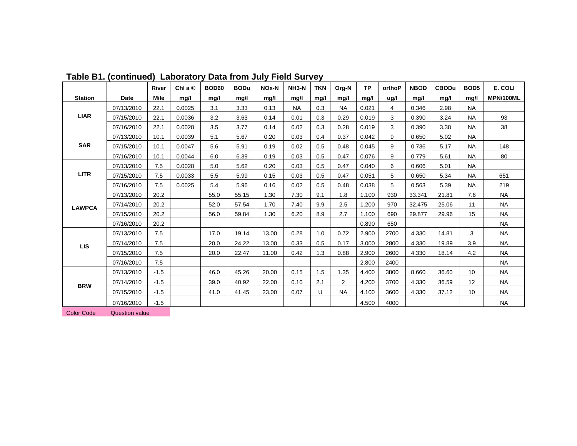|                                           |                       | <b>River</b> | Chl a $\circledcirc$ | <b>BOD60</b> | <b>BODu</b> | NOx-N | $NH3-N$ | <b>TKN</b> | Org-N     | <b>TP</b> | orthoP | <b>NBOD</b> | <b>CBODu</b> | BOD <sub>5</sub> | E. COLI   |
|-------------------------------------------|-----------------------|--------------|----------------------|--------------|-------------|-------|---------|------------|-----------|-----------|--------|-------------|--------------|------------------|-----------|
| <b>Station</b>                            | Date                  | <b>Mile</b>  | mg/l                 | mg/l         | mg/l        | mg/l  | mg/l    | mg/l       | mg/l      | mg/l      | ug/l   | mg/l        | mg/l         | mg/l             | MPN/100ML |
|                                           | 07/13/2010            | 22.1         | 0.0025               | 3.1          | 3.33        | 0.13  | NA.     | 0.3        | <b>NA</b> | 0.021     | 4      | 0.346       | 2.98         | <b>NA</b>        |           |
| <b>LIAR</b>                               | 07/15/2010            | 22.1         | 0.0036               | 3.2          | 3.63        | 0.14  | 0.01    | 0.3        | 0.29      | 0.019     | 3      | 0.390       | 3.24         | <b>NA</b>        | 93        |
|                                           | 07/16/2010            | 22.1         | 0.0028               | 3.5          | 3.77        | 0.14  | 0.02    | 0.3        | 0.28      | 0.019     | 3      | 0.390       | 3.38         | <b>NA</b>        | 38        |
|                                           | 07/13/2010            | 10.1         | 0.0039               | 5.1          | 5.67        | 0.20  | 0.03    | 0.4        | 0.37      | 0.042     | 9      | 0.650       | 5.02         | <b>NA</b>        |           |
| <b>SAR</b>                                | 07/15/2010            | 10.1         | 0.0047               | 5.6          | 5.91        | 0.19  | 0.02    | 0.5        | 0.48      | 0.045     | 9      | 0.736       | 5.17         | <b>NA</b>        | 148       |
|                                           | 07/16/2010            | 10.1         | 0.0044               | 6.0          | 6.39        | 0.19  | 0.03    | 0.5        | 0.47      | 0.076     | 9      | 0.779       | 5.61         | <b>NA</b>        | 80        |
|                                           | 07/13/2010            | 7.5          | 0.0028               | 5.0          | 5.62        | 0.20  | 0.03    | 0.5        | 0.47      | 0.040     | 6      | 0.606       | 5.01         | <b>NA</b>        |           |
| <b>LITR</b>                               | 07/15/2010            | 7.5          | 0.0033               | 5.5          | 5.99        | 0.15  | 0.03    | 0.5        | 0.47      | 0.051     | 5      | 0.650       | 5.34         | <b>NA</b>        | 651       |
|                                           | 07/16/2010            | 7.5          | 0.0025               | 5.4          | 5.96        | 0.16  | 0.02    | 0.5        | 0.48      | 0.038     | 5      | 0.563       | 5.39         | <b>NA</b>        | 219       |
|                                           | 07/13/2010            | 20.2         |                      | 55.0         | 55.15       | 1.30  | 7.30    | 9.1        | 1.8       | 1.100     | 930    | 33.341      | 21.81        | 7.6              | <b>NA</b> |
|                                           | 07/14/2010            | 20.2         |                      | 52.0         | 57.54       | 1.70  | 7.40    | 9.9        | 2.5       | 1.200     | 970    | 32.475      | 25.06        | 11               | <b>NA</b> |
|                                           | 07/15/2010            | 20.2         |                      | 56.0         | 59.84       | 1.30  | 6.20    | 8.9        | 2.7       | 1.100     | 690    | 29.877      | 29.96        | 15               | <b>NA</b> |
| <b>LAWPCA</b><br><b>LIS</b><br><b>BRW</b> | 07/16/2010            | 20.2         |                      |              |             |       |         |            |           | 0.890     | 650    |             |              |                  | <b>NA</b> |
|                                           | 07/13/2010            | 7.5          |                      | 17.0         | 19.14       | 13.00 | 0.28    | 1.0        | 0.72      | 2.900     | 2700   | 4.330       | 14.81        | 3                | <b>NA</b> |
|                                           | 07/14/2010            | 7.5          |                      | 20.0         | 24.22       | 13.00 | 0.33    | 0.5        | 0.17      | 3.000     | 2800   | 4.330       | 19.89        | 3.9              | <b>NA</b> |
|                                           | 07/15/2010            | 7.5          |                      | 20.0         | 22.47       | 11.00 | 0.42    | 1.3        | 0.88      | 2.900     | 2600   | 4.330       | 18.14        | 4.2              | <b>NA</b> |
|                                           | 07/16/2010            | 7.5          |                      |              |             |       |         |            |           | 2.800     | 2400   |             |              |                  | <b>NA</b> |
|                                           | 07/13/2010            | $-1.5$       |                      | 46.0         | 45.26       | 20.00 | 0.15    | 1.5        | 1.35      | 4.400     | 3800   | 8.660       | 36.60        | 10               | <b>NA</b> |
|                                           | 07/14/2010            | $-1.5$       |                      | 39.0         | 40.92       | 22.00 | 0.10    | 2.1        | 2         | 4.200     | 3700   | 4.330       | 36.59        | 12               | <b>NA</b> |
|                                           | 07/15/2010            | $-1.5$       |                      | 41.0         | 41.45       | 23.00 | 0.07    | U          | <b>NA</b> | 4.100     | 3600   | 4.330       | 37.12        | 10               | NA        |
|                                           | 07/16/2010            | $-1.5$       |                      |              |             |       |         |            |           | 4.500     | 4000   |             |              |                  | <b>NA</b> |
| <b>Color Code</b>                         | <b>Question value</b> |              |                      |              |             |       |         |            |           |           |        |             |              |                  |           |

**Table B1. (continued) Laboratory Data from July Field Survey**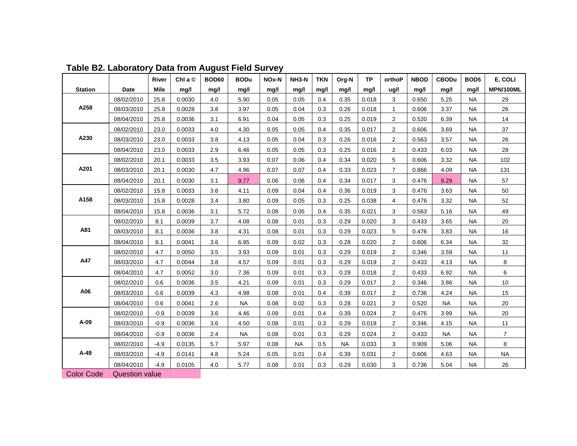|                   |                       | River       | Chl a $\circledcirc$ | <b>BOD60</b> | <b>BODu</b> | NOx-N | NH3-N     | <b>TKN</b> | Org-N     | <b>TP</b> | orthoP         | <b>NBOD</b> | <b>CBODu</b> | BOD <sub>5</sub> | E. COLI        |
|-------------------|-----------------------|-------------|----------------------|--------------|-------------|-------|-----------|------------|-----------|-----------|----------------|-------------|--------------|------------------|----------------|
| <b>Station</b>    | Date                  | <b>Mile</b> | mq/l                 | mg/l         | mg/l        | mg/l  | mg/l      | mg/l       | mg/l      | mg/l      | ug/l           | mg/l        | mq/l         | mg/l             | MPN/100ML      |
| A258              | 08/02/2010            | 25.8        | 0.0030               | 4.0          | 5.90        | 0.05  | 0.05      | 0.4        | 0.35      | 0.018     | 3              | 0.650       | 5.25         | NA.              | 29             |
|                   | 08/03/2010            | 25.8        | 0.0028               | 3.8          | 3.97        | 0.05  | 0.04      | 0.3        | 0.26      | 0.018     | $\mathbf{1}$   | 0.606       | 3.37         | <b>NA</b>        | 26             |
|                   | 08/04/2010            | 25.8        | 0.0036               | 3.1          | 6.91        | 0.04  | 0.05      | 0.3        | 0.25      | 0.019     | 2              | 0.520       | 6.39         | <b>NA</b>        | 14             |
| A230              | 08/02/2010            | 23.0        | 0.0033               | 4.0          | 4.30        | 0.05  | 0.05      | 0.4        | 0.35      | 0.017     | $\overline{c}$ | 0.606       | 3.69         | <b>NA</b>        | 37             |
|                   | 08/03/2010            | 23.0        | 0.0033               | 3.8          | 4.13        | 0.05  | 0.04      | 0.3        | 0.26      | 0.016     | 2              | 0.563       | 3.57         | <b>NA</b>        | 26             |
|                   | 08/04/2010            | 23.0        | 0.0033               | 2.9          | 6.46        | 0.05  | 0.05      | 0.3        | 0.25      | 0.016     | $\overline{2}$ | 0.433       | 6.03         | <b>NA</b>        | 28             |
| A201              | 08/02/2010            | 20.1        | 0.0033               | 3.5          | 3.93        | 0.07  | 0.06      | 0.4        | 0.34      | 0.020     | 5              | 0.606       | 3.32         | <b>NA</b>        | 102            |
|                   | 08/03/2010            | 20.1        | 0.0030               | 4.7          | 4.96        | 0.07  | 0.07      | 0.4        | 0.33      | 0.023     | $\overline{7}$ | 0.866       | 4.09         | <b>NA</b>        | 131            |
|                   | 08/04/2010            | 20.1        | 0.0030               | 3.1          | 9.77        | 0.06  | 0.06      | 0.4        | 0.34      | 0.017     | 3              | 0.476       | 9.29         | <b>NA</b>        | 57             |
| A158              | 08/02/2010            | 15.8        | 0.0033               | 3.6          | 4.11        | 0.09  | 0.04      | 0.4        | 0.36      | 0.019     | 3              | 0.476       | 3.63         | <b>NA</b>        | 50             |
|                   | 08/03/2010            | 15.8        | 0.0028               | 3.4          | 3.80        | 0.09  | 0.05      | 0.3        | 0.25      | 0.038     | 4              | 0.476       | 3.32         | NA.              | 52             |
|                   | 08/04/2010            | 15.8        | 0.0036               | 3.1          | 5.72        | 0.08  | 0.05      | 0.4        | 0.35      | 0.021     | 3              | 0.563       | 5.16         | <b>NA</b>        | 49             |
| A81               | 08/02/2010            | 8.1         | 0.0039               | 3.7          | 4.08        | 0.08  | 0.01      | 0.3        | 0.29      | 0.020     | 3              | 0.433       | 3.65         | NA.              | 20             |
|                   | 08/03/2010            | 8.1         | 0.0036               | 3.8          | 4.31        | 0.08  | 0.01      | 0.3        | 0.29      | 0.023     | 5              | 0.476       | 3.83         | <b>NA</b>        | 16             |
|                   | 08/04/2010            | 8.1         | 0.0041               | 3.6          | 6.95        | 0.09  | 0.02      | 0.3        | 0.28      | 0.020     | $\overline{2}$ | 0.606       | 6.34         | NA               | 32             |
| A47               | 08/02/2010            | 4.7         | 0.0050               | 3.5          | 3.93        | 0.09  | 0.01      | 0.3        | 0.29      | 0.019     | 2              | 0.346       | 3.59         | <b>NA</b>        | 11             |
|                   | 08/03/2010            | 4.7         | 0.0044               | 3.8          | 4.57        | 0.09  | 0.01      | 0.3        | 0.29      | 0.019     | 2              | 0.433       | 4.13         | <b>NA</b>        | 8              |
|                   | 08/04/2010            | 4.7         | 0.0052               | 3.0          | 7.36        | 0.09  | 0.01      | 0.3        | 0.29      | 0.018     | $\overline{2}$ | 0.433       | 6.92         | <b>NA</b>        | 6              |
| A06               | 08/02/2010            | 0.6         | 0.0036               | 3.5          | 4.21        | 0.09  | 0.01      | 0.3        | 0.29      | 0.017     | $\overline{2}$ | 0.346       | 3.86         | NA.              | 10             |
|                   | 08/03/2010            | 0.6         | 0.0039               | 4.3          | 4.98        | 0.08  | 0.01      | 0.4        | 0.39      | 0.017     | $\overline{2}$ | 0.736       | 4.24         | <b>NA</b>        | 15             |
|                   | 08/04/2010            | 0.6         | 0.0041               | 2.6          | <b>NA</b>   | 0.08  | 0.02      | 0.3        | 0.28      | 0.021     | 2              | 0.520       | <b>NA</b>    | <b>NA</b>        | 20             |
| A-09              | 08/02/2010            | $-0.9$      | 0.0039               | 3.6          | 4.46        | 0.09  | 0.01      | 0.4        | 0.39      | 0.024     | 2              | 0.476       | 3.99         | <b>NA</b>        | 20             |
|                   | 08/03/2010            | $-0.9$      | 0.0036               | 3.6          | 4.50        | 0.08  | 0.01      | 0.3        | 0.29      | 0.018     | $\overline{2}$ | 0.346       | 4.15         | NA.              | 11             |
|                   | 08/04/2010            | $-0.9$      | 0.0036               | 2.4          | <b>NA</b>   | 0.08  | 0.01      | 0.3        | 0.29      | 0.024     | $\overline{2}$ | 0.433       | <b>NA</b>    | <b>NA</b>        | $\overline{7}$ |
| $A-49$            | 08/02/2010            | $-4.9$      | 0.0135               | 5.7          | 5.97        | 0.08  | <b>NA</b> | 0.5        | <b>NA</b> | 0.033     | 3              | 0.909       | 5.06         | <b>NA</b>        | 8              |
|                   | 08/03/2010            | $-4.9$      | 0.0141               | 4.8          | 5.24        | 0.05  | 0.01      | 0.4        | 0.39      | 0.031     | 2              | 0.606       | 4.63         | <b>NA</b>        | <b>NA</b>      |
|                   | 08/04/2010            | $-4.9$      | 0.0105               | 4.0          | 5.77        | 0.08  | 0.01      | 0.3        | 0.29      | 0.030     | 3              | 0.736       | 5.04         | <b>NA</b>        | 26             |
| <b>Color Code</b> | <b>Question value</b> |             |                      |              |             |       |           |            |           |           |                |             |              |                  |                |

# **Table B2. Laboratory Data from August Field Survey**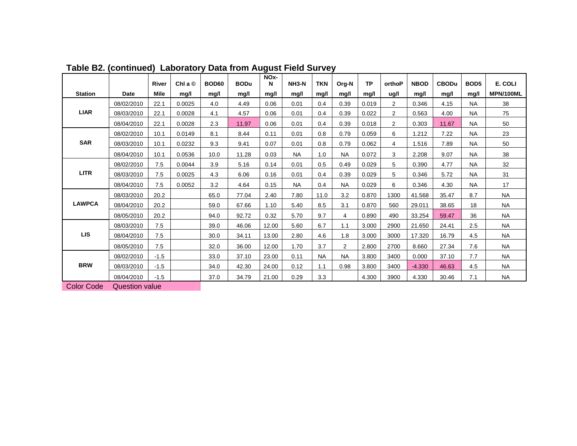|                   |                       | River       | Chl a $\odot$ | <b>BOD60</b> | <b>BODu</b> | NOx-<br>N | NH3-N     | <b>TKN</b> | Org-N          | <b>TP</b> | orthoP         | <b>NBOD</b> | <b>CBODu</b> | BOD <sub>5</sub> | E. COLI   |
|-------------------|-----------------------|-------------|---------------|--------------|-------------|-----------|-----------|------------|----------------|-----------|----------------|-------------|--------------|------------------|-----------|
| <b>Station</b>    | <b>Date</b>           | <b>Mile</b> | mg/l          | mg/l         | mg/l        | mg/l      | mg/l      | mg/l       | mg/l           | mq/l      | ug/l           | mg/l        | mg/l         | mg/l             | MPN/100ML |
| <b>LIAR</b>       | 08/02/2010            | 22.1        | 0.0025        | 4.0          | 4.49        | 0.06      | 0.01      | 0.4        | 0.39           | 0.019     | $\overline{2}$ | 0.346       | 4.15         | <b>NA</b>        | 38        |
|                   | 08/03/2010            | 22.1        | 0.0028        | 4.1          | 4.57        | 0.06      | 0.01      | 0.4        | 0.39           | 0.022     | 2              | 0.563       | 4.00         | <b>NA</b>        | 75        |
|                   |                       |             |               |              |             |           |           |            |                |           |                |             |              |                  |           |
|                   | 08/04/2010            | 22.1        | 0.0028        | 2.3          | 11.97       | 0.06      | 0.01      | 0.4        | 0.39           | 0.018     | 2              | 0.303       | 11.67        | <b>NA</b>        | 50        |
| <b>SAR</b>        | 08/02/2010            | 10.1        | 0.0149        | 8.1          | 8.44        | 0.11      | 0.01      | 0.8        | 0.79           | 0.059     | 6              | 1.212       | 7.22         | <b>NA</b>        | 23        |
|                   | 08/03/2010            | 10.1        | 0.0232        | 9.3          | 9.41        | 0.07      | 0.01      | 0.8        | 0.79           | 0.062     | 4              | 1.516       | 7.89         | <b>NA</b>        | 50        |
|                   | 08/04/2010            | 10.1        | 0.0536        | 10.0         | 11.28       | 0.03      | <b>NA</b> | 1.0        | <b>NA</b>      | 0.072     | 3              | 2.208       | 9.07         | <b>NA</b>        | 38        |
| <b>LITR</b>       | 08/02/2010            | 7.5         | 0.0044        | 3.9          | 5.16        | 0.14      | 0.01      | 0.5        | 0.49           | 0.029     | 5              | 0.390       | 4.77         | <b>NA</b>        | 32        |
|                   | 08/03/2010            | 7.5         | 0.0025        | 4.3          | 6.06        | 0.16      | 0.01      | 0.4        | 0.39           | 0.029     | 5              | 0.346       | 5.72         | <b>NA</b>        | 31        |
|                   | 08/04/2010            | 7.5         | 0.0052        | 3.2          | 4.64        | 0.15      | <b>NA</b> | 0.4        | <b>NA</b>      | 0.029     | 6              | 0.346       | 4.30         | <b>NA</b>        | 17        |
| <b>LAWPCA</b>     | 08/03/2010            | 20.2        |               | 65.0         | 77.04       | 2.40      | 7.80      | 11.0       | 3.2            | 0.870     | 1300           | 41.568      | 35.47        | 8.7              | <b>NA</b> |
|                   | 08/04/2010            | 20.2        |               | 59.0         | 67.66       | 1.10      | 5.40      | 8.5        | 3.1            | 0.870     | 560            | 29.011      | 38.65        | 18               | <b>NA</b> |
|                   | 08/05/2010            | 20.2        |               | 94.0         | 92.72       | 0.32      | 5.70      | 9.7        | 4              | 0.890     | 490            | 33.254      | 59.47        | 36               | <b>NA</b> |
| <b>LIS</b>        | 08/03/2010            | 7.5         |               | 39.0         | 46.06       | 12.00     | 5.60      | 6.7        | 1.1            | 3.000     | 2900           | 21.650      | 24.41        | 2.5              | <b>NA</b> |
|                   | 08/04/2010            | 7.5         |               | 30.0         | 34.11       | 13.00     | 2.80      | 4.6        | 1.8            | 3.000     | 3000           | 17.320      | 16.79        | 4.5              | <b>NA</b> |
|                   | 08/05/2010            | 7.5         |               | 32.0         | 36.00       | 12.00     | 1.70      | 3.7        | $\overline{2}$ | 2.800     | 2700           | 8.660       | 27.34        | 7.6              | <b>NA</b> |
| <b>BRW</b>        | 08/02/2010            | $-1.5$      |               | 33.0         | 37.10       | 23.00     | 0.11      | <b>NA</b>  | <b>NA</b>      | 3.800     | 3400           | 0.000       | 37.10        | 7.7              | <b>NA</b> |
|                   | 08/03/2010            | $-1.5$      |               | 34.0         | 42.30       | 24.00     | 0.12      | 1.1        | 0.98           | 3.800     | 3400           | $-4.330$    | 46.63        | 4.5              | <b>NA</b> |
|                   | 08/04/2010            | $-1.5$      |               | 37.0         | 34.79       | 21.00     | 0.29      | 3.3        |                | 4.300     | 3900           | 4.330       | 30.46        | 7.1              | <b>NA</b> |
| <b>Color Code</b> | <b>Question value</b> |             |               |              |             |           |           |            |                |           |                |             |              |                  |           |

**Table B2. (continued) Laboratory Data from August Field Survey**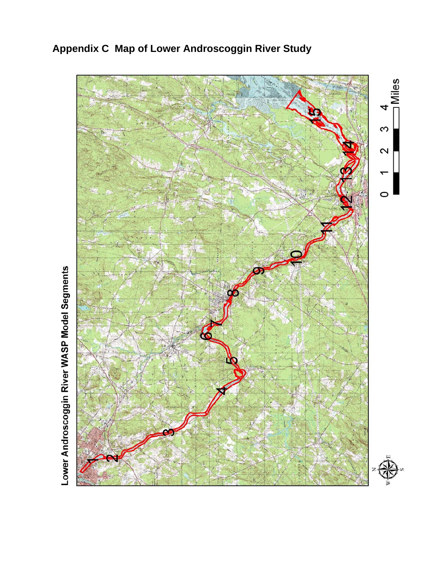

**Appendix C Map of Lower Androscoggin River Study**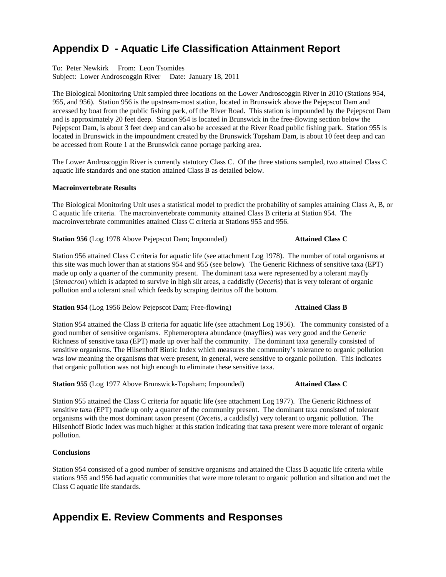## **Appendix D - Aquatic Life Classification Attainment Report**

To: Peter Newkirk From: Leon Tsomides Subject: Lower Androscoggin River Date: January 18, 2011

The Biological Monitoring Unit sampled three locations on the Lower Androscoggin River in 2010 (Stations 954, 955, and 956). Station 956 is the upstream-most station, located in Brunswick above the Pejepscot Dam and accessed by boat from the public fishing park, off the River Road. This station is impounded by the Pejepscot Dam and is approximately 20 feet deep. Station 954 is located in Brunswick in the free-flowing section below the Pejepscot Dam, is about 3 feet deep and can also be accessed at the River Road public fishing park. Station 955 is located in Brunswick in the impoundment created by the Brunswick Topsham Dam, is about 10 feet deep and can be accessed from Route 1 at the Brunswick canoe portage parking area.

The Lower Androscoggin River is currently statutory Class C. Of the three stations sampled, two attained Class C aquatic life standards and one station attained Class B as detailed below.

#### **Macroinvertebrate Results**

The Biological Monitoring Unit uses a statistical model to predict the probability of samples attaining Class A, B, or C aquatic life criteria. The macroinvertebrate community attained Class B criteria at Station 954. The macroinvertebrate communities attained Class C criteria at Stations 955 and 956.

**Station 956** (Log 1978 Above Pejepscot Dam; Impounded) **Attained Class C**

Station 956 attained Class C criteria for aquatic life (see attachment Log 1978). The number of total organisms at this site was much lower than at stations 954 and 955 (see below). The Generic Richness of sensitive taxa (EPT) made up only a quarter of the community present. The dominant taxa were represented by a tolerant mayfly (*Stenacron*) which is adapted to survive in high silt areas, a caddisfly (*Oecetis*) that is very tolerant of organic pollution and a tolerant snail which feeds by scraping detritus off the bottom.

**Station 954** (Log 1956 Below Pejepscot Dam; Free-flowing) **Attained Class B** 

Station 954 attained the Class B criteria for aquatic life (see attachment Log 1956). The community consisted of a good number of sensitive organisms. Ephemeroptera abundance (mayflies) was very good and the Generic Richness of sensitive taxa (EPT) made up over half the community. The dominant taxa generally consisted of sensitive organisms. The Hilsenhoff Biotic Index which measures the community's tolerance to organic pollution was low meaning the organisms that were present, in general, were sensitive to organic pollution. This indicates that organic pollution was not high enough to eliminate these sensitive taxa.

**Station 955** (Log 1977 Above Brunswick-Topsham; Impounded) **Attained Class C**

Station 955 attained the Class C criteria for aquatic life (see attachment Log 1977). The Generic Richness of sensitive taxa (EPT) made up only a quarter of the community present. The dominant taxa consisted of tolerant organisms with the most dominant taxon present (*Oecetis*, a caddisfly) very tolerant to organic pollution. The Hilsenhoff Biotic Index was much higher at this station indicating that taxa present were more tolerant of organic pollution.

#### **Conclusions**

Station 954 consisted of a good number of sensitive organisms and attained the Class B aquatic life criteria while stations 955 and 956 had aquatic communities that were more tolerant to organic pollution and siltation and met the Class C aquatic life standards.

## **Appendix E. Review Comments and Responses**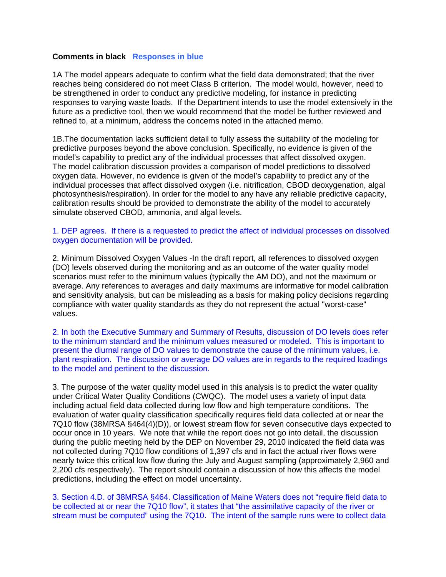#### **Comments in black Responses in blue**

1A The model appears adequate to confirm what the field data demonstrated; that the river reaches being considered do not meet Class B criterion. The model would, however, need to be strengthened in order to conduct any predictive modeling, for instance in predicting responses to varying waste loads. If the Department intends to use the model extensively in the future as a predictive tool, then we would recommend that the model be further reviewed and refined to, at a minimum, address the concerns noted in the attached memo.

1B.The documentation lacks sufficient detail to fully assess the suitability of the modeling for predictive purposes beyond the above conclusion. Specifically, no evidence is given of the model's capability to predict any of the individual processes that affect dissolved oxygen. The model calibration discussion provides a comparison of model predictions to dissolved oxygen data. However, no evidence is given of the model's capability to predict any of the individual processes that affect dissolved oxygen (i.e. nitrification, CBOD deoxygenation, algal photosynthesis/respiration). In order for the model to any have any reliable predictive capacity, calibration results should be provided to demonstrate the ability of the model to accurately simulate observed CBOD, ammonia, and algal levels.

#### 1. DEP agrees. If there is a requested to predict the affect of individual processes on dissolved oxygen documentation will be provided.

2. Minimum Dissolved Oxygen Values -In the draft report, all references to dissolved oxygen (DO) levels observed during the monitoring and as an outcome of the water quality model scenarios must refer to the minimum values (typically the AM DO), and not the maximum or average. Any references to averages and daily maximums are informative for model calibration and sensitivity analysis, but can be misleading as a basis for making policy decisions regarding compliance with water quality standards as they do not represent the actual "worst-case" values.

2. In both the Executive Summary and Summary of Results, discussion of DO levels does refer to the minimum standard and the minimum values measured or modeled. This is important to present the diurnal range of DO values to demonstrate the cause of the minimum values, i.e. plant respiration. The discussion or average DO values are in regards to the required loadings to the model and pertinent to the discussion.

3. The purpose of the water quality model used in this analysis is to predict the water quality under Critical Water Quality Conditions (CWQC). The model uses a variety of input data including actual field data collected during low flow and high temperature conditions. The evaluation of water quality classification specifically requires field data collected at or near the 7Q10 flow (38MRSA §464(4)(D)), or lowest stream flow for seven consecutive days expected to occur once in 10 years. We note that while the report does not go into detail, the discussion during the public meeting held by the DEP on November 29, 2010 indicated the field data was not collected during 7Q10 flow conditions of 1,397 cfs and in fact the actual river flows were nearly twice this critical low flow during the July and August sampling (approximately 2,960 and 2,200 cfs respectively). The report should contain a discussion of how this affects the model predictions, including the effect on model uncertainty.

3. Section 4.D. of 38MRSA §464. Classification of Maine Waters does not "require field data to be collected at or near the 7Q10 flow", it states that "the assimilative capacity of the river or stream must be computed" using the 7Q10. The intent of the sample runs were to collect data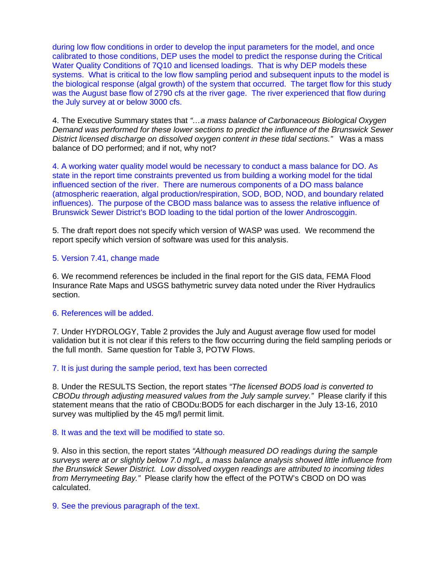during low flow conditions in order to develop the input parameters for the model, and once calibrated to those conditions, DEP uses the model to predict the response during the Critical Water Quality Conditions of 7Q10 and licensed loadings. That is why DEP models these systems. What is critical to the low flow sampling period and subsequent inputs to the model is the biological response (algal growth) of the system that occurred. The target flow for this study was the August base flow of 2790 cfs at the river gage. The river experienced that flow during the July survey at or below 3000 cfs.

4. The Executive Summary states that *"…a mass balance of Carbonaceous Biological Oxygen Demand was performed for these lower sections to predict the influence of the Brunswick Sewer District licensed discharge on dissolved oxygen content in these tidal sections."* Was a mass balance of DO performed; and if not, why not?

4. A working water quality model would be necessary to conduct a mass balance for DO. As state in the report time constraints prevented us from building a working model for the tidal influenced section of the river. There are numerous components of a DO mass balance (atmospheric reaeration, algal production/respiration, SOD, BOD, NOD, and boundary related influences). The purpose of the CBOD mass balance was to assess the relative influence of Brunswick Sewer District's BOD loading to the tidal portion of the lower Androscoggin.

5. The draft report does not specify which version of WASP was used. We recommend the report specify which version of software was used for this analysis.

#### 5. Version 7.41, change made

6. We recommend references be included in the final report for the GIS data, FEMA Flood Insurance Rate Maps and USGS bathymetric survey data noted under the River Hydraulics section.

### 6. References will be added.

7. Under HYDROLOGY, Table 2 provides the July and August average flow used for model validation but it is not clear if this refers to the flow occurring during the field sampling periods or the full month. Same question for Table 3, POTW Flows.

### 7. It is just during the sample period, text has been corrected

8. Under the RESULTS Section, the report states *"The licensed BOD5 load is converted to CBODu through adjusting measured values from the July sample survey."* Please clarify if this statement means that the ratio of CBODu:BOD5 for each discharger in the July 13-16, 2010 survey was multiplied by the 45 mg/l permit limit.

#### 8. It was and the text will be modified to state so.

9. Also in this section, the report states *"Although measured DO readings during the sample surveys were at or slightly below 7.0 mg/L, a mass balance analysis showed little influence from the Brunswick Sewer District. Low dissolved oxygen readings are attributed to incoming tides from Merrymeeting Bay."* Please clarify how the effect of the POTW's CBOD on DO was calculated.

#### 9. See the previous paragraph of the text.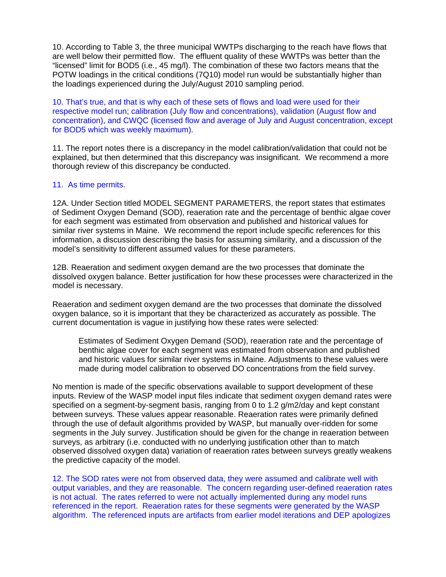10. According to Table 3, the three municipal WWTPs discharging to the reach have flows that are well below their permitted flow. The effluent quality of these WWTPs was better than the "licensed" limit for BOD5 (i.e., 45 mg/l). The combination of these two factors means that the POTW loadings in the critical conditions (7Q10) model run would be substantially higher than the loadings experienced during the July/August 2010 sampling period.

10. That's true, and that is why each of these sets of flows and load were used for their respective model run; calibration (July flow and concentrations), validation (August flow and concentration), and CWQC (licensed flow and average of July and August concentration, except for BOD5 which was weekly maximum).

11. The report notes there is a discrepancy in the model calibration/validation that could not be explained, but then determined that this discrepancy was insignificant. We recommend a more thorough review of this discrepancy be conducted.

#### 11. As time permits.

12A. Under Section titled MODEL SEGMENT PARAMETERS, the report states that estimates of Sediment Oxygen Demand (SOD), reaeration rate and the percentage of benthic algae cover for each segment was estimated from observation and published and historical values for similar river systems in Maine. We recommend the report include specific references for this information, a discussion describing the basis for assuming similarity, and a discussion of the model's sensitivity to different assumed values for these parameters.

12B. Reaeration and sediment oxygen demand are the two processes that dominate the dissolved oxygen balance. Better justification for how these processes were characterized in the model is necessary.

Reaeration and sediment oxygen demand are the two processes that dominate the dissolved oxygen balance, so it is important that they be characterized as accurately as possible. The current documentation is vague in justifying how these rates were selected:

Estimates of Sediment Oxygen Demand (SOD), reaeration rate and the percentage of benthic algae cover for each segment was estimated from observation and published and historic values for similar river systems in Maine. Adjustments to these values were made during model calibration to observed DO concentrations from the field survey.

No mention is made of the specific observations available to support development of these inputs. Review of the WASP model input files indicate that sediment oxygen demand rates were specified on a segment-by-segment basis, ranging from 0 to 1.2 g/m2/day and kept constant between surveys. These values appear reasonable. Reaeration rates were primarily defined through the use of default algorithms provided by WASP, but manually over-ridden for some segments in the July survey. Justification should be given for the change in reaeration between surveys, as arbitrary (i.e. conducted with no underlying justification other than to match observed dissolved oxygen data) variation of reaeration rates between surveys greatly weakens the predictive capacity of the model.

12. The SOD rates were not from observed data, they were assumed and calibrate well with output variables, and they are reasonable. The concern regarding user-defined reaeration rates is not actual. The rates referred to were not actually implemented during any model runs referenced in the report. Reaeration rates for these segments were generated by the WASP algorithm. The referenced inputs are artifacts from earlier model iterations and DEP apologizes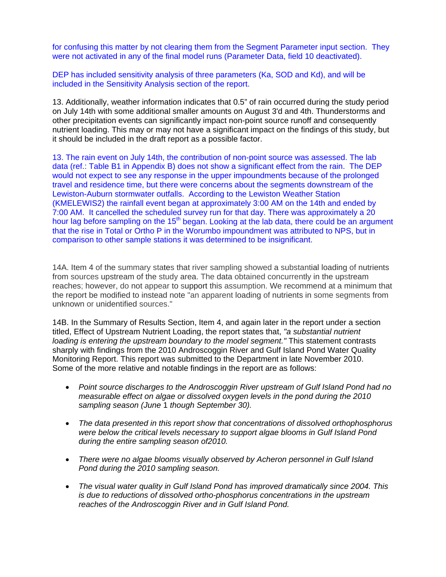for confusing this matter by not clearing them from the Segment Parameter input section. They were not activated in any of the final model runs (Parameter Data, field 10 deactivated).

DEP has included sensitivity analysis of three parameters (Ka, SOD and Kd), and will be included in the Sensitivity Analysis section of the report.

13. Additionally, weather information indicates that 0.5" of rain occurred during the study period on July 14th with some additional smaller amounts on August 3'd and 4th. Thunderstorms and other precipitation events can significantly impact non-point source runoff and consequently nutrient loading. This may or may not have a significant impact on the findings of this study, but it should be included in the draft report as a possible factor.

13. The rain event on July 14th, the contribution of non-point source was assessed. The lab data (ref.: Table B1 in Appendix B) does not show a significant effect from the rain. The DEP would not expect to see any response in the upper impoundments because of the prolonged travel and residence time, but there were concerns about the segments downstream of the Lewiston-Auburn stormwater outfalls. According to the Lewiston Weather Station (KMELEWIS2) the rainfall event began at approximately 3:00 AM on the 14th and ended by 7:00 AM. It cancelled the scheduled survey run for that day. There was approximately a 20 hour lag before sampling on the 15<sup>th</sup> began. Looking at the lab data, there could be an argument that the rise in Total or Ortho P in the Worumbo impoundment was attributed to NPS, but in comparison to other sample stations it was determined to be insignificant.

14A. Item 4 of the summary states that river sampling showed a substantial loading of nutrients from sources upstream of the study area. The data obtained concurrently in the upstream reaches; however, do not appear to support this assumption. We recommend at a minimum that the report be modified to instead note "an apparent loading of nutrients in some segments from unknown or unidentified sources."

14B. In the Summary of Results Section, Item 4, and again later in the report under a section titled, Effect of Upstream Nutrient Loading, the report states that, *"a substantial nutrient loading is entering the upstream boundary to the model segment."* This statement contrasts sharply with findings from the 2010 Androscoggin River and Gulf Island Pond Water Quality Monitoring Report. This report was submitted to the Department in late November 2010. Some of the more relative and notable findings in the report are as follows:

- *Point source discharges to the Androscoggin River upstream of Gulf Island Pond had no measurable effect on algae or dissolved oxygen levels in the pond during the 2010 sampling season (June* 1 *though September 30).*
- *The data presented in this report show that concentrations of dissolved orthophosphorus were below the critical levels necessary to support algae blooms in Gulf Island Pond during the entire sampling season of2010.*
- *There were no algae blooms visually observed by Acheron personnel in Gulf Island Pond during the 2010 sampling season.*
- *The visual water quality in Gulf Island Pond has improved dramatically since 2004. This is due to reductions of dissolved ortho-phosphorus concentrations in the upstream reaches of the Androscoggin River and in Gulf Island Pond.*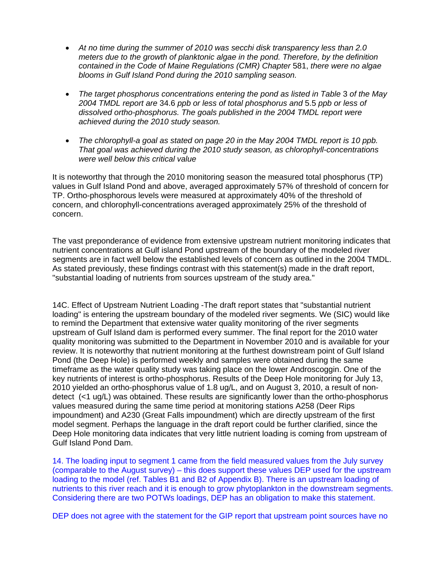- *At no time during the summer of 2010 was secchi disk transparency less than 2.0 meters due to the growth of planktonic algae in the pond. Therefore, by the definition contained in the Code of Maine Regulations (CMR) Chapter* 581, *there were no algae blooms in Gulf Island Pond during the 2010 sampling season.*
- *The target phosphorus concentrations entering the pond as listed in Table* 3 *of the May 2004 TMDL report are* 34.6 *ppb or less of total phosphorus and* 5.5 *ppb or less of dissolved ortho-phosphorus. The goals published in the 2004 TMDL report were achieved during the 2010 study season.*
- *The chlorophyll-a goal as stated on page 20 in the May 2004 TMDL report is 10 ppb. That goal was achieved during the 2010 study season, as chlorophyll-concentrations were well below this critical value*

It is noteworthy that through the 2010 monitoring season the measured total phosphorus (TP) values in Gulf Island Pond and above, averaged approximately 57% of threshold of concern for TP. Ortho-phosphorous levels were measured at approximately 40% of the threshold of concern, and chlorophyll-concentrations averaged approximately 25% of the threshold of concern.

The vast preponderance of evidence from extensive upstream nutrient monitoring indicates that nutrient concentrations at Gulf island Pond upstream of the boundary of the modeled river segments are in fact well below the established levels of concern as outlined in the 2004 TMDL. As stated previously, these findings contrast with this statement(s) made in the draft report, "substantial loading of nutrients from sources upstream of the study area."

14C. Effect of Upstream Nutrient Loading -The draft report states that "substantial nutrient loading" is entering the upstream boundary of the modeled river segments. We (SIC) would like to remind the Department that extensive water quality monitoring of the river segments upstream of Gulf Island dam is performed every summer. The final report for the 2010 water quality monitoring was submitted to the Department in November 2010 and is available for your review. It is noteworthy that nutrient monitoring at the furthest downstream point of Gulf Island Pond (the Deep Hole) is performed weekly and samples were obtained during the same timeframe as the water quality study was taking place on the lower Androscoggin. One of the key nutrients of interest is ortho-phosphorus. Results of the Deep Hole monitoring for July 13, 2010 yielded an ortho-phosphorus value of 1.8 ug/L, and on August 3, 2010, a result of nondetect (<1 ug/L) was obtained. These results are significantly lower than the ortho-phosphorus values measured during the same time period at monitoring stations A258 (Deer Rips impoundment) and A230 (Great Falls impoundment) which are directly upstream of the first model segment. Perhaps the language in the draft report could be further clarified, since the Deep Hole monitoring data indicates that very little nutrient loading is coming from upstream of Gulf Island Pond Dam.

14. The loading input to segment 1 came from the field measured values from the July survey (comparable to the August survey) – this does support these values DEP used for the upstream loading to the model (ref. Tables B1 and B2 of Appendix B). There is an upstream loading of nutrients to this river reach and it is enough to grow phytoplankton in the downstream segments. Considering there are two POTWs loadings, DEP has an obligation to make this statement.

DEP does not agree with the statement for the GIP report that upstream point sources have no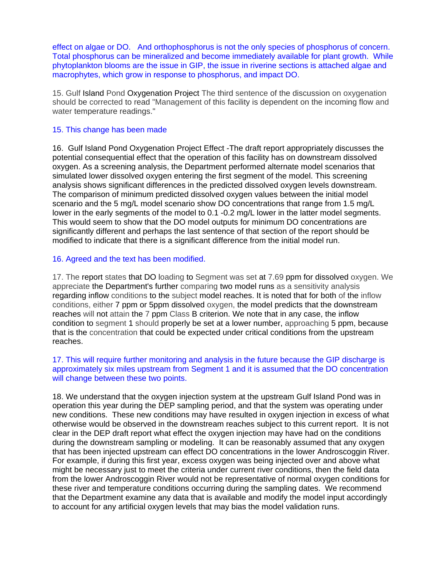effect on algae or DO. And orthophosphorus is not the only species of phosphorus of concern. Total phosphorus can be mineralized and become immediately available for plant growth. While phytoplankton blooms are the issue in GIP, the issue in riverine sections is attached algae and macrophytes, which grow in response to phosphorus, and impact DO.

15. Gulf Island Pond Oxygenation Project The third sentence of the discussion on oxygenation should be corrected to read "Management of this facility is dependent on the incoming flow and water temperature readings."

### 15. This change has been made

16. Gulf Island Pond Oxygenation Project Effect -The draft report appropriately discusses the potential consequential effect that the operation of this facility has on downstream dissolved oxygen. As a screening analysis, the Department performed alternate model scenarios that simulated lower dissolved oxygen entering the first segment of the model. This screening analysis shows significant differences in the predicted dissolved oxygen levels downstream. The comparison of minimum predicted dissolved oxygen values between the initial model scenario and the 5 mg/L model scenario show DO concentrations that range from 1.5 mg/L lower in the early segments of the model to 0.1 -0.2 mg/L lower in the latter model segments. This would seem to show that the DO model outputs for minimum DO concentrations are significantly different and perhaps the last sentence of that section of the report should be modified to indicate that there is a significant difference from the initial model run.

### 16. Agreed and the text has been modified.

17. The report states that DO loading to Segment was set at 7.69 ppm for dissolved oxygen. We appreciate the Department's further comparing two model runs as a sensitivity analysis regarding inflow conditions to the subject model reaches. It is noted that for both of the inflow conditions, either 7 ppm or 5ppm dissolved oxygen, the model predicts that the downstream reaches will not attain the 7 ppm Class B criterion. We note that in any case, the inflow condition to segment 1 should properly be set at a lower number, approaching 5 ppm, because that is the concentration that could be expected under critical conditions from the upstream reaches.

### 17. This will require further monitoring and analysis in the future because the GIP discharge is approximately six miles upstream from Segment 1 and it is assumed that the DO concentration will change between these two points.

18. We understand that the oxygen injection system at the upstream Gulf Island Pond was in operation this year during the DEP sampling period, and that the system was operating under new conditions. These new conditions may have resulted in oxygen injection in excess of what otherwise would be observed in the downstream reaches subject to this current report. It is not clear in the DEP draft report what effect the oxygen injection may have had on the conditions during the downstream sampling or modeling. It can be reasonably assumed that any oxygen that has been injected upstream can effect DO concentrations in the lower Androscoggin River. For example, if during this first year, excess oxygen was being injected over and above what might be necessary just to meet the criteria under current river conditions, then the field data from the lower Androscoggin River would not be representative of normal oxygen conditions for these river and temperature conditions occurring during the sampling dates. We recommend that the Department examine any data that is available and modify the model input accordingly to account for any artificial oxygen levels that may bias the model validation runs.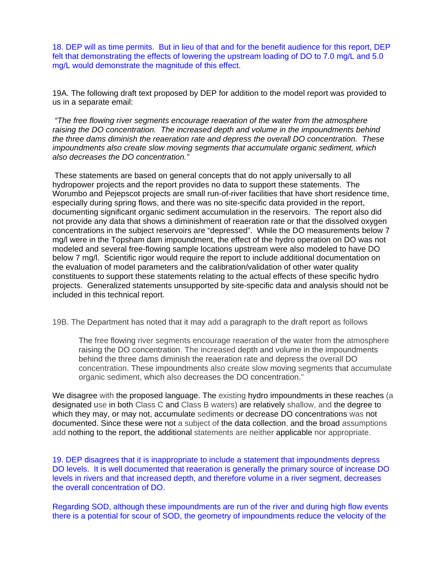18. DEP will as time permits. But in lieu of that and for the benefit audience for this report, DEP felt that demonstrating the effects of lowering the upstream loading of DO to 7.0 mg/L and 5.0 mg/L would demonstrate the magnitude of this effect.

19A. The following draft text proposed by DEP for addition to the model report was provided to us in a separate email:

*"The free flowing river segments encourage reaeration of the water from the atmosphere raising the DO concentration. The increased depth and volume in the impoundments behind the three dams diminish the reaeration rate and depress the overall DO concentration. These impoundments also create slow moving segments that accumulate organic sediment, which also decreases the DO concentration."* 

 These statements are based on general concepts that do not apply universally to all hydropower projects and the report provides no data to support these statements. The Worumbo and Pejepscot projects are small run-of-river facilities that have short residence time, especially during spring flows, and there was no site-specific data provided in the report, documenting significant organic sediment accumulation in the reservoirs. The report also did not provide any data that shows a diminishment of reaeration rate or that the dissolved oxygen concentrations in the subject reservoirs are "depressed". While the DO measurements below 7 mg/l were in the Topsham dam impoundment, the effect of the hydro operation on DO was not modeled and several free-flowing sample locations upstream were also modeled to have DO below 7 mg/l. Scientific rigor would require the report to include additional documentation on the evaluation of model parameters and the calibration/validation of other water quality constituents to support these statements relating to the actual effects of these specific hydro projects. Generalized statements unsupported by site-specific data and analysis should not be included in this technical report.

19B. The Department has noted that it may add a paragraph to the draft report as follows

The free flowing river segments encourage reaeration of the water from the atmosphere raising the DO concentration. The increased depth and volume in the impoundments behind the three dams diminish the reaeration rate and depress the overall DO concentration. These impoundments also create slow moving segments that accumulate organic sediment, which also decreases the DO concentration."

We disagree with the proposed language. The existing hydro impoundments in these reaches (a designated use in both Class C and Class B waters) are relatively shallow, and the degree to which they may, or may not, accumulate sediments or decrease DO concentrations was not documented. Since these were not a subject of the data collection, and the broad assumptions add nothing to the report, the additional statements are neither applicable nor appropriate.

19. DEP disagrees that it is inappropriate to include a statement that impoundments depress DO levels. It is well documented that reaeration is generally the primary source of increase DO levels in rivers and that increased depth, and therefore volume in a river segment, decreases the overall concentration of DO.

Regarding SOD, although these impoundments are run of the river and during high flow events there is a potential for scour of SOD, the geometry of impoundments reduce the velocity of the